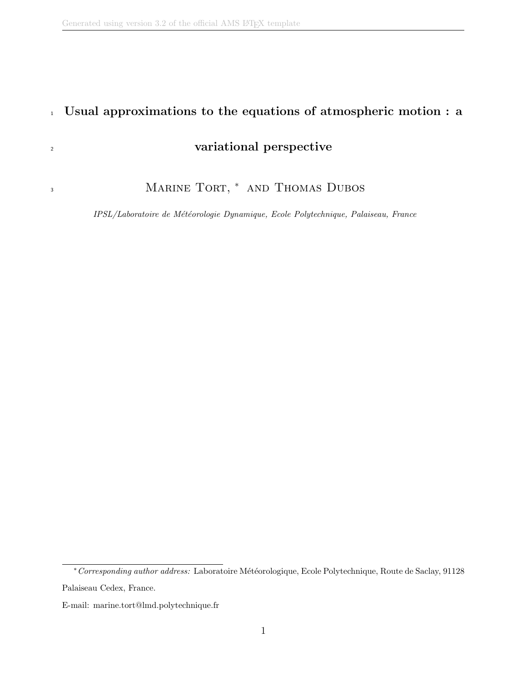3

### <sup>1</sup> Usual approximations to the equations of atmospheric motion : a

### <sup>2</sup> variational perspective

MARINE TORT, \* AND THOMAS DUBOS

IPSL/Laboratoire de Météorologie Dynamique, Ecole Polytechnique, Palaiseau, France

<sup>∗</sup>Corresponding author address: Laboratoire M´et´eorologique, Ecole Polytechnique, Route de Saclay, 91128 Palaiseau Cedex, France.

E-mail: marine.tort@lmd.polytechnique.fr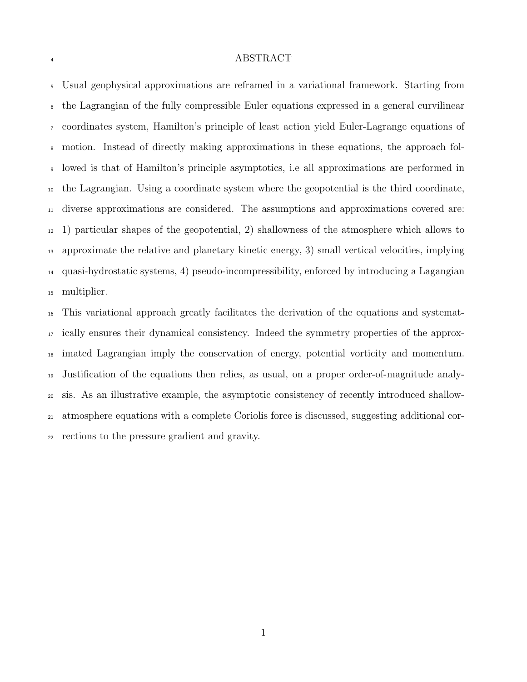#### ABSTRACT

 Usual geophysical approximations are reframed in a variational framework. Starting from the Lagrangian of the fully compressible Euler equations expressed in a general curvilinear coordinates system, Hamilton's principle of least action yield Euler-Lagrange equations of motion. Instead of directly making approximations in these equations, the approach fol- lowed is that of Hamilton's principle asymptotics, i.e all approximations are performed in the Lagrangian. Using a coordinate system where the geopotential is the third coordinate, diverse approximations are considered. The assumptions and approximations covered are: 1) particular shapes of the geopotential, 2) shallowness of the atmosphere which allows to approximate the relative and planetary kinetic energy, 3) small vertical velocities, implying quasi-hydrostatic systems, 4) pseudo-incompressibility, enforced by introducing a Lagangian multiplier.

 This variational approach greatly facilitates the derivation of the equations and systemat- ically ensures their dynamical consistency. Indeed the symmetry properties of the approx- imated Lagrangian imply the conservation of energy, potential vorticity and momentum. Justification of the equations then relies, as usual, on a proper order-of-magnitude analy- sis. As an illustrative example, the asymptotic consistency of recently introduced shallow- atmosphere equations with a complete Coriolis force is discussed, suggesting additional cor-rections to the pressure gradient and gravity.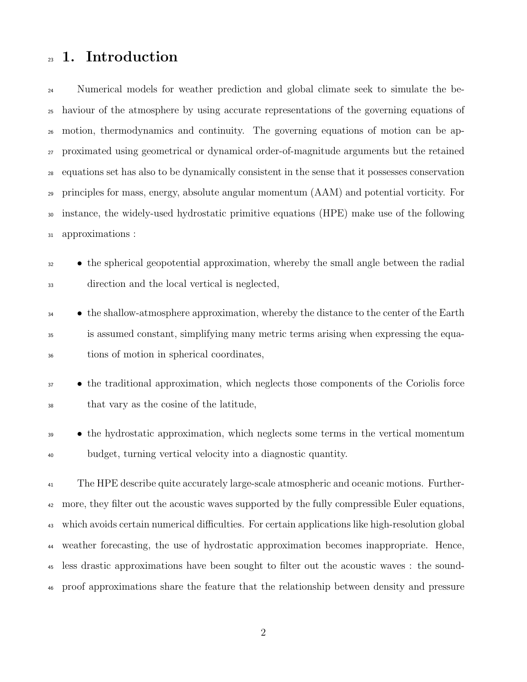### 1. Introduction

<sup>24</sup> Numerical models for weather prediction and global climate seek to simulate the be- haviour of the atmosphere by using accurate representations of the governing equations of motion, thermodynamics and continuity. The governing equations of motion can be ap- proximated using geometrical or dynamical order-of-magnitude arguments but the retained equations set has also to be dynamically consistent in the sense that it possesses conservation principles for mass, energy, absolute angular momentum (AAM) and potential vorticity. For instance, the widely-used hydrostatic primitive equations (HPE) make use of the following approximations :

- <sup>32</sup> the spherical geopotential approximation, whereby the small angle between the radial direction and the local vertical is neglected,
- <sup>34</sup> the shallow-atmosphere approximation, whereby the distance to the center of the Earth is assumed constant, simplifying many metric terms arising when expressing the equa-tions of motion in spherical coordinates,
- <sup>37</sup> the traditional approximation, which neglects those components of the Coriolis force that vary as the cosine of the latitude,
- <sup>39</sup> the hydrostatic approximation, which neglects some terms in the vertical momentum budget, turning vertical velocity into a diagnostic quantity.

 The HPE describe quite accurately large-scale atmospheric and oceanic motions. Further-<sup>42</sup> more, they filter out the acoustic waves supported by the fully compressible Euler equations, which avoids certain numerical difficulties. For certain applications like high-resolution global weather forecasting, the use of hydrostatic approximation becomes inappropriate. Hence, less drastic approximations have been sought to filter out the acoustic waves : the sound-proof approximations share the feature that the relationship between density and pressure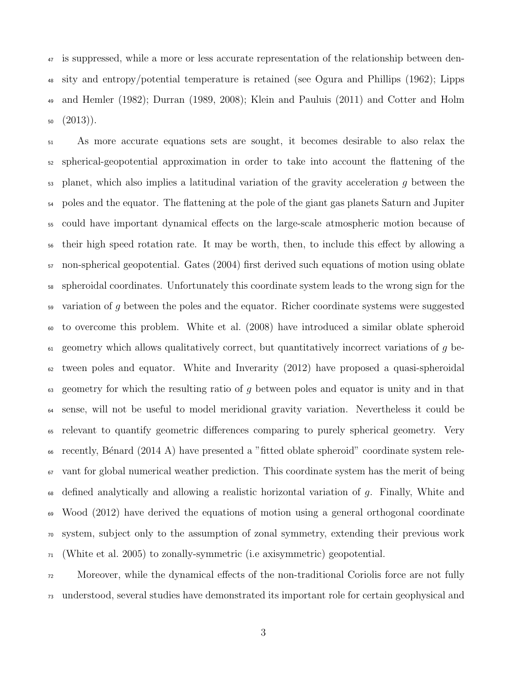is suppressed, while a more or less accurate representation of the relationship between den- sity and entropy/potential temperature is retained (see Ogura and Phillips (1962); Lipps and Hemler (1982); Durran (1989, 2008); Klein and Pauluis (2011) and Cotter and Holm  $(2013)$ .

 As more accurate equations sets are sought, it becomes desirable to also relax the spherical-geopotential approximation in order to take into account the flattening of the planet, which also implies a latitudinal variation of the gravity acceleration q between the poles and the equator. The flattening at the pole of the giant gas planets Saturn and Jupiter could have important dynamical effects on the large-scale atmospheric motion because of their high speed rotation rate. It may be worth, then, to include this effect by allowing a non-spherical geopotential. Gates (2004) first derived such equations of motion using oblate spheroidal coordinates. Unfortunately this coordinate system leads to the wrong sign for the  $\frac{1}{2}$  variation of g between the poles and the equator. Richer coordinate systems were suggested to overcome this problem. White et al. (2008) have introduced a similar oblate spheroid  $_{61}$  geometry which allows qualitatively correct, but quantitatively incorrect variations of q be- $\epsilon_2$  tween poles and equator. White and Inverarity (2012) have proposed a quasi-spheroidal  $\epsilon_{63}$  geometry for which the resulting ratio of q between poles and equator is unity and in that sense, will not be useful to model meridional gravity variation. Nevertheless it could be relevant to quantify geometric differences comparing to purely spherical geometry. Very <sup>66</sup> recently, Bénard (2014 A) have presented a "fitted oblate spheroid" coordinate system rele- vant for global numerical weather prediction. This coordinate system has the merit of being defined analytically and allowing a realistic horizontal variation of g. Finally, White and Wood (2012) have derived the equations of motion using a general orthogonal coordinate system, subject only to the assumption of zonal symmetry, extending their previous work (White et al. 2005) to zonally-symmetric (i.e axisymmetric) geopotential.

 Moreover, while the dynamical effects of the non-traditional Coriolis force are not fully understood, several studies have demonstrated its important role for certain geophysical and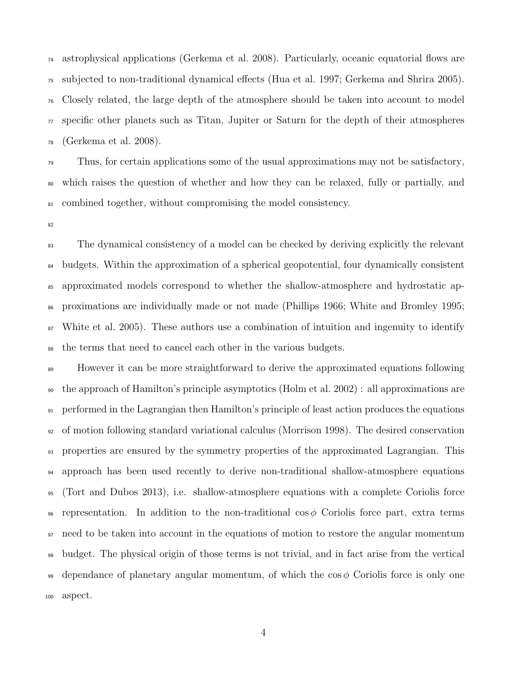astrophysical applications (Gerkema et al. 2008). Particularly, oceanic equatorial flows are subjected to non-traditional dynamical effects (Hua et al. 1997; Gerkema and Shrira 2005). Closely related, the large depth of the atmosphere should be taken into account to model specific other planets such as Titan, Jupiter or Saturn for the depth of their atmospheres (Gerkema et al. 2008).

 Thus, for certain applications some of the usual approximations may not be satisfactory, which raises the question of whether and how they can be relaxed, fully or partially, and combined together, without compromising the model consistency.

 The dynamical consistency of a model can be checked by deriving explicitly the relevant budgets. Within the approximation of a spherical geopotential, four dynamically consistent approximated models correspond to whether the shallow-atmosphere and hydrostatic ap- proximations are individually made or not made (Phillips 1966; White and Bromley 1995; White et al. 2005). These authors use a combination of intuition and ingenuity to identify the terms that need to cancel each other in the various budgets.

<sup>89</sup> However it can be more straightforward to derive the approximated equations following the approach of Hamilton's principle asymptotics (Holm et al. 2002) : all approximations are performed in the Lagrangian then Hamilton's principle of least action produces the equations of motion following standard variational calculus (Morrison 1998). The desired conservation properties are ensured by the symmetry properties of the approximated Lagrangian. This approach has been used recently to derive non-traditional shallow-atmosphere equations (Tort and Dubos 2013), i.e. shallow-atmosphere equations with a complete Coriolis force 96 representation. In addition to the non-traditional cos  $\phi$  Coriolis force part, extra terms need to be taken into account in the equations of motion to restore the angular momentum budget. The physical origin of those terms is not trivial, and in fact arise from the vertical dependance of planetary angular momentum, of which the cos  $\phi$  Coriolis force is only one aspect.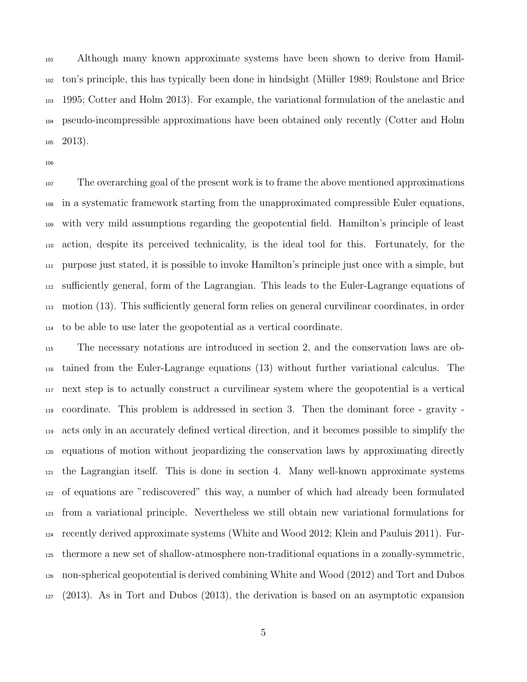Although many known approximate systems have been shown to derive from Hamil- ton's principle, this has typically been done in hindsight (M¨uller 1989; Roulstone and Brice 1995; Cotter and Holm 2013). For example, the variational formulation of the anelastic and pseudo-incompressible approximations have been obtained only recently (Cotter and Holm  $105 \quad 2013$ ).

 The overarching goal of the present work is to frame the above mentioned approximations in a systematic framework starting from the unapproximated compressible Euler equations, with very mild assumptions regarding the geopotential field. Hamilton's principle of least action, despite its perceived technicality, is the ideal tool for this. Fortunately, for the purpose just stated, it is possible to invoke Hamilton's principle just once with a simple, but sufficiently general, form of the Lagrangian. This leads to the Euler-Lagrange equations of motion (13). This sufficiently general form relies on general curvilinear coordinates, in order to be able to use later the geopotential as a vertical coordinate.

 The necessary notations are introduced in section 2, and the conservation laws are ob- tained from the Euler-Lagrange equations (13) without further variational calculus. The next step is to actually construct a curvilinear system where the geopotential is a vertical coordinate. This problem is addressed in section 3. Then the dominant force - gravity - acts only in an accurately defined vertical direction, and it becomes possible to simplify the equations of motion without jeopardizing the conservation laws by approximating directly the Lagrangian itself. This is done in section 4. Many well-known approximate systems of equations are "rediscovered" this way, a number of which had already been formulated from a variational principle. Nevertheless we still obtain new variational formulations for recently derived approximate systems (White and Wood 2012; Klein and Pauluis 2011). Fur- thermore a new set of shallow-atmosphere non-traditional equations in a zonally-symmetric, non-spherical geopotential is derived combining White and Wood (2012) and Tort and Dubos (2013). As in Tort and Dubos (2013), the derivation is based on an asymptotic expansion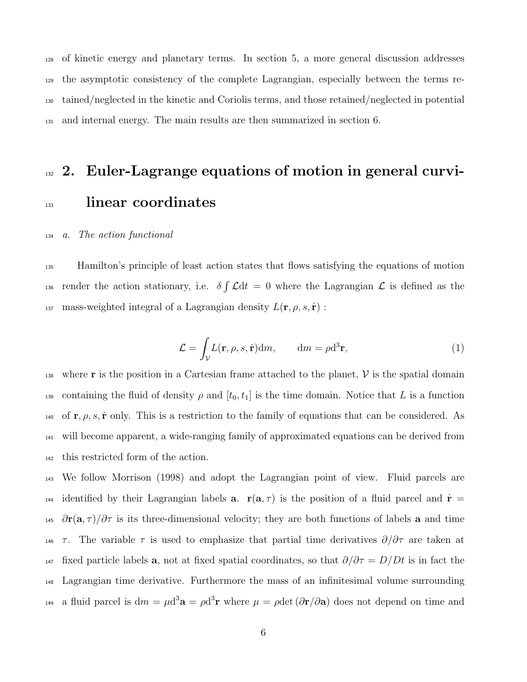of kinetic energy and planetary terms. In section 5, a more general discussion addresses the asymptotic consistency of the complete Lagrangian, especially between the terms re- tained/neglected in the kinetic and Coriolis terms, and those retained/neglected in potential and internal energy. The main results are then summarized in section 6.

# 132 2. Euler-Lagrange equations of motion in general curvi-<sup>133</sup> linear coordinates

#### <sup>134</sup> a. The action functional

<sup>135</sup> Hamilton's principle of least action states that flows satisfying the equations of motion 136 render the action stationary, i.e.  $\delta \int \mathcal{L} dt = 0$  where the Lagrangian  $\mathcal{L}$  is defined as the 137 mass-weighted integral of a Lagrangian density  $L(\mathbf{r}, \rho, s, \dot{\mathbf{r}})$ :

$$
\mathcal{L} = \int_{\mathcal{V}} L(\mathbf{r}, \rho, s, \dot{\mathbf{r}}) dm, \qquad dm = \rho d^3 \mathbf{r}, \tag{1}
$$

138 where **r** is the position in a Cartesian frame attached to the planet,  $\mathcal{V}$  is the spatial domain 139 containing the fluid of density  $\rho$  and  $[t_0, t_1]$  is the time domain. Notice that L is a function 140 of  $\mathbf{r}, \rho, s, \dot{\mathbf{r}}$  only. This is a restriction to the family of equations that can be considered. As <sup>141</sup> will become apparent, a wide-ranging family of approximated equations can be derived from <sup>142</sup> this restricted form of the action.

<sup>143</sup> We follow Morrison (1998) and adopt the Lagrangian point of view. Fluid parcels are 144 identified by their Lagrangian labels **a**.  $r(a, \tau)$  is the position of a fluid parcel and  $\dot{r} =$ 145  $\partial$ r(a,  $\tau$ )/ $\partial$  $\tau$  is its three-dimensional velocity; they are both functions of labels a and time 146  $\tau$ . The variable  $\tau$  is used to emphasize that partial time derivatives  $\partial/\partial \tau$  are taken at 147 fixed particle labels **a**, not at fixed spatial coordinates, so that  $\partial/\partial \tau = D/Dt$  is in fact the <sup>148</sup> Lagrangian time derivative. Furthermore the mass of an infinitesimal volume surrounding <sup>149</sup> a fluid parcel is  $dm = \mu d^3 \mathbf{a} = \rho d^3 \mathbf{r}$  where  $\mu = \rho det (\partial \mathbf{r}/\partial \mathbf{a})$  does not depend on time and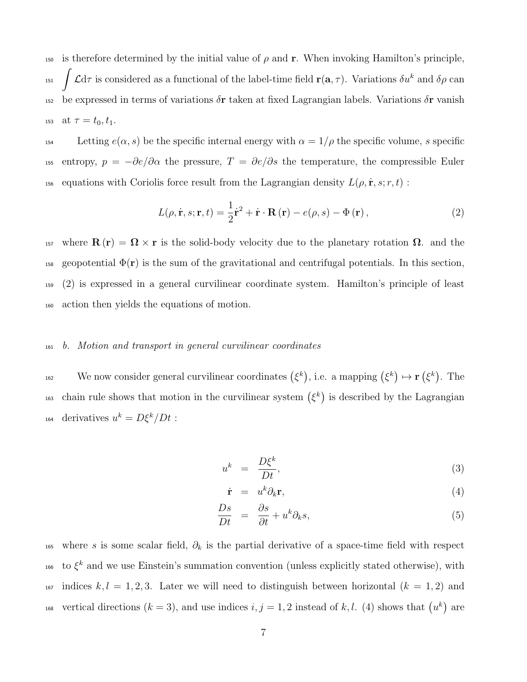150 is therefore determined by the initial value of  $\rho$  and **r**. When invoking Hamilton's principle, Z 151  $\int \mathcal{L} d\tau$  is considered as a functional of the label-time field  $\mathbf{r}(\mathbf{a},\tau)$ . Variations  $\delta u^k$  and  $\delta \rho$  can 152 be expressed in terms of variations  $\delta$ **r** taken at fixed Lagrangian labels. Variations  $\delta$ **r** vanish 153 at  $\tau = t_0, t_1$ .

154 Letting  $e(\alpha, s)$  be the specific internal energy with  $\alpha = 1/\rho$  the specific volume, s specific 155 entropy,  $p = -\partial e/\partial \alpha$  the pressure,  $T = \partial e/\partial s$  the temperature, the compressible Euler 156 equations with Coriolis force result from the Lagrangian density  $L(\rho, \dot{\mathbf{r}}, s; r, t)$ :

$$
L(\rho, \dot{\mathbf{r}}, s; \mathbf{r}, t) = \frac{1}{2}\dot{\mathbf{r}}^2 + \dot{\mathbf{r}} \cdot \mathbf{R}(\mathbf{r}) - e(\rho, s) - \Phi(\mathbf{r}),
$$
\n(2)

157 where  $\mathbf{R}(\mathbf{r}) = \mathbf{\Omega} \times \mathbf{r}$  is the solid-body velocity due to the planetary rotation  $\mathbf{\Omega}$ . and the 158 geopotential  $\Phi(\mathbf{r})$  is the sum of the gravitational and centrifugal potentials. In this section, <sup>159</sup> (2) is expressed in a general curvilinear coordinate system. Hamilton's principle of least <sup>160</sup> action then yields the equations of motion.

#### <sup>161</sup> b. Motion and transport in general curvilinear coordinates

<sup>162</sup> We now consider general curvilinear coordinates  $(\xi^k)$ , i.e. a mapping  $(\xi^k) \mapsto \mathbf{r}(\xi^k)$ . The to chain rule shows that motion in the curvilinear system  $(\xi^k)$  is described by the Lagrangian 164 derivatives  $u^k = D\xi^k/Dt$ :

$$
u^k = \frac{D\xi^k}{Dt},\tag{3}
$$

$$
\dot{\mathbf{r}} = u^k \partial_k \mathbf{r}, \tag{4}
$$

$$
\frac{Ds}{Dt} = \frac{\partial s}{\partial t} + u^k \partial_k s,\tag{5}
$$

165 where s is some scalar field,  $\partial_k$  is the partial derivative of a space-time field with respect <sup>166</sup> to  $\xi^k$  and we use Einstein's summation convention (unless explicitly stated otherwise), with 167 indices  $k, l = 1, 2, 3$ . Later we will need to distinguish between horizontal  $(k = 1, 2)$  and <sup>168</sup> vertical directions  $(k = 3)$ , and use indices  $i, j = 1, 2$  instead of k, l. (4) shows that  $(u<sup>k</sup>)$  are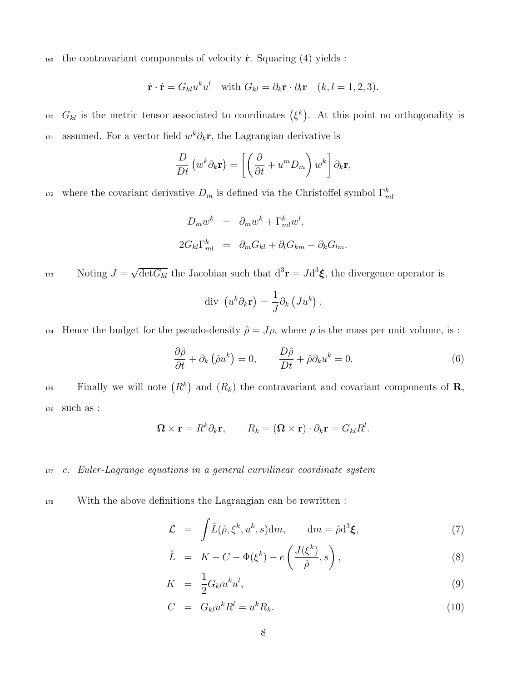169 the contravariant components of velocity  $\dot{\mathbf{r}}$ . Squaring (4) yields :

$$
\dot{\mathbf{r}} \cdot \dot{\mathbf{r}} = G_{kl} u^k u^l
$$
 with  $G_{kl} = \partial_k \mathbf{r} \cdot \partial_l \mathbf{r}$   $(k, l = 1, 2, 3)$ .

<sup>170</sup>  $G_{kl}$  is the metric tensor associated to coordinates  $(\xi^k)$ . At this point no orthogonality is <sup>171</sup> assumed. For a vector field  $w^k \partial_k \mathbf{r}$ , the Lagrangian derivative is

$$
\frac{D}{Dt} \left( w^k \partial_k \mathbf{r} \right) = \left[ \left( \frac{\partial}{\partial t} + u^m D_m \right) w^k \right] \partial_k \mathbf{r},
$$

<sup>172</sup> where the covariant derivative  $D_m$  is defined via the Christoffel symbol  $\Gamma_m^k$ 

$$
D_m w^k = \partial_m w^k + \Gamma^k_{ml} w^l,
$$
  

$$
2G_{kl} \Gamma^k_{ml} = \partial_m G_{kl} + \partial_l G_{km} - \partial_k G_{lm}.
$$

Noting  $J =$ Noting  $J = \sqrt{\det G_{kl}}$  the Jacobian such that  $d^3 \mathbf{r} = J d^3 \boldsymbol{\xi}$ , the divergence operator is

$$
\text{div}\ \left(u^k \partial_k \mathbf{r}\right) = \frac{1}{J} \partial_k \left(J u^k\right)
$$

174 Hence the budget for the pseudo-density  $\hat{\rho} = J\rho$ , where  $\rho$  is the mass per unit volume, is :

$$
\frac{\partial \hat{\rho}}{\partial t} + \partial_k (\hat{\rho} u^k) = 0, \qquad \frac{D \hat{\rho}}{Dt} + \hat{\rho} \partial_k u^k = 0.
$$
 (6)

.

 $F_{\text{inally}}$  we will note  $(R^k)$  and  $(R_k)$  the contravariant and covariant components of **R**, <sup>176</sup> such as :

$$
\mathbf{\Omega} \times \mathbf{r} = R^k \partial_k \mathbf{r}, \qquad R_k = (\mathbf{\Omega} \times \mathbf{r}) \cdot \partial_k \mathbf{r} = G_{kl} R^l.
$$

<sup>177</sup> c. Euler-Lagrange equations in a general curvilinear coordinate system

<sup>178</sup> With the above definitions the Lagrangian can be rewritten :

$$
\mathcal{L} = \int \hat{L}(\hat{\rho}, \xi^k, u^k, s) dm, \qquad dm = \hat{\rho} d^3 \xi,
$$
 (7)

$$
\hat{L} = K + C - \Phi(\xi^k) - e\left(\frac{J(\xi^k)}{\hat{\rho}}, s\right),\tag{8}
$$

$$
K = \frac{1}{2} G_{kl} u^k u^l, \tag{9}
$$

$$
C = G_{kl}u^k R^l = u^k R_k. \tag{10}
$$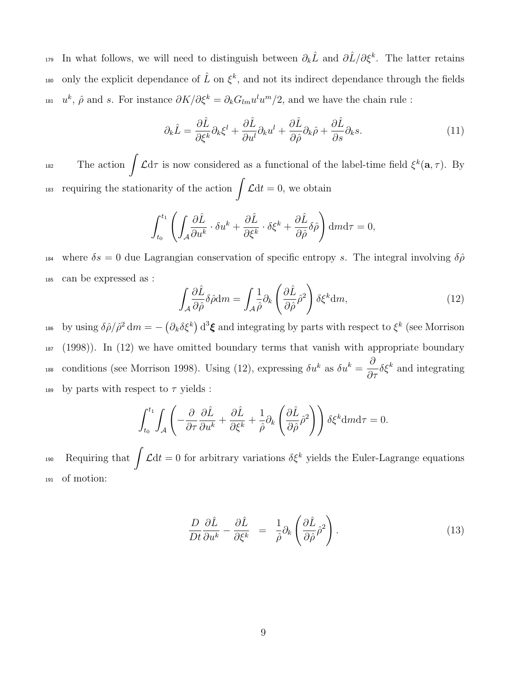179 In what follows, we will need to distinguish between  $\partial_k \hat{L}$  and  $\partial \hat{L}/\partial \xi^k$ . The latter retains <sup>180</sup> only the explicit dependance of  $\hat{L}$  on  $\xi^k$ , and not its indirect dependance through the fields <sup>181</sup>  $u^k$ ,  $\hat{\rho}$  and s. For instance  $\partial K/\partial \xi^k = \partial_k G_{lm} u^l u^m/2$ , and we have the chain rule :

$$
\partial_k \hat{L} = \frac{\partial \hat{L}}{\partial \xi^k} \partial_k \xi^l + \frac{\partial \hat{L}}{\partial u^l} \partial_k u^l + \frac{\partial \hat{L}}{\partial \hat{\rho}} \partial_k \hat{\rho} + \frac{\partial \hat{L}}{\partial s} \partial_k s. \tag{11}
$$

182 The action  $\int \mathcal{L} d\tau$  is now considered as a functional of the label-time field  $\xi^k(\mathbf{a}, \tau)$ . By <sup>183</sup> requiring the stationarity of the action  $\int \mathcal{L} dt = 0$ , we obtain

$$
\int_{t_0}^{t_1} \left( \int_A \frac{\partial \hat{L}}{\partial u^k} \cdot \delta u^k + \frac{\partial \hat{L}}{\partial \xi^k} \cdot \delta \xi^k + \frac{\partial \hat{L}}{\partial \hat{\rho}} \delta \hat{\rho} \right) d\mathbf{m} d\tau = 0,
$$

184 where  $\delta s = 0$  due Lagrangian conservation of specific entropy s. The integral involving  $\delta \hat{\rho}$ <sup>185</sup> can be expressed as :

$$
\int_{A} \frac{\partial \hat{L}}{\partial \hat{\rho}} \delta \hat{\rho} dm = \int_{A} \frac{1}{\hat{\rho}} \partial_{k} \left( \frac{\partial \hat{L}}{\partial \hat{\rho}} \hat{\rho}^{2} \right) \delta \xi^{k} dm, \tag{12}
$$

<sup>186</sup> by using  $\delta \hat{\rho}/\hat{\rho}^2 dm = -(\partial_k \delta \xi^k) d^3 \xi$  and integrating by parts with respect to  $\xi^k$  (see Morrison <sup>187</sup> (1998)). In (12) we have omitted boundary terms that vanish with appropriate boundary <sup>188</sup> conditions (see Morrison 1998). Using (12), expressing  $\delta u^k$  as  $\delta u^k = \frac{\partial}{\partial \tau} \delta \xi^k$  and integrating 189 by parts with respect to  $\tau$  yields :

$$
\int_{t_0}^{t_1} \int_{A} \left( -\frac{\partial}{\partial \tau} \frac{\partial \hat{L}}{\partial u^k} + \frac{\partial \hat{L}}{\partial \xi^k} + \frac{1}{\hat{\rho}} \partial_k \left( \frac{\partial \hat{L}}{\partial \hat{\rho}} \hat{\rho}^2 \right) \right) \delta \xi^k \mathrm{d}m \mathrm{d}\tau = 0.
$$

190 Requiring that  $\int \mathcal{L} dt = 0$  for arbitrary variations  $\delta \xi^k$  yields the Euler-Lagrange equations <sup>191</sup> of motion:

$$
\frac{D}{Dt}\frac{\partial \hat{L}}{\partial u^k} - \frac{\partial \hat{L}}{\partial \xi^k} = \frac{1}{\hat{\rho}}\partial_k \left(\frac{\partial \hat{L}}{\partial \hat{\rho}}\hat{\rho}^2\right).
$$
\n(13)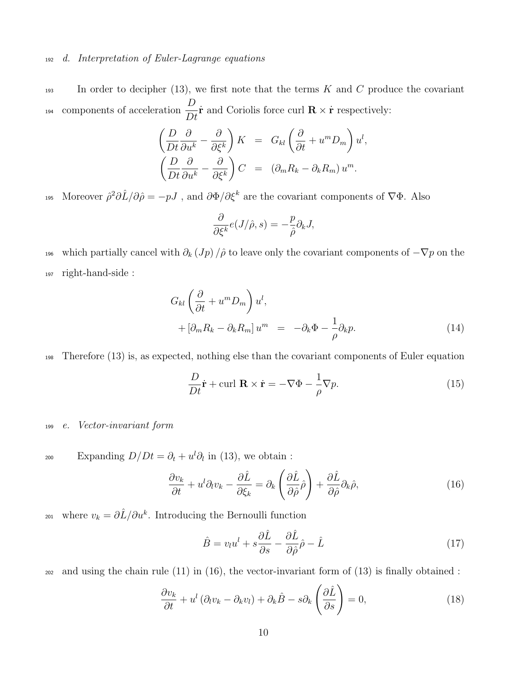#### <sup>192</sup> d. Interpretation of Euler-Lagrange equations

 $193$  In order to decipher (13), we first note that the terms K and C produce the covariant components of acceleration  $\frac{D}{D}$ Dt <sup>194</sup> components of acceleration  $\frac{1}{R} \dot{\mathbf{r}}$  and Coriolis force curl  $\mathbf{R} \times \dot{\mathbf{r}}$  respectively:

$$
\begin{aligned}\n\left(\frac{D}{Dt}\frac{\partial}{\partial u^k} - \frac{\partial}{\partial \xi^k}\right) K &= G_{kl} \left(\frac{\partial}{\partial t} + u^m D_m\right) u^l, \\
\left(\frac{D}{Dt}\frac{\partial}{\partial u^k} - \frac{\partial}{\partial \xi^k}\right) C &= (\partial_m R_k - \partial_k R_m) u^m.\n\end{aligned}
$$

195 Moreover  $\hat{\rho}^2 \partial \hat{L}/\partial \hat{\rho} = -pJ$ , and  $\partial \Phi/\partial \xi^k$  are the covariant components of  $\nabla \Phi$ . Also

$$
\frac{\partial}{\partial \xi^k} e(J/\hat{\rho}, s) = -\frac{p}{\hat{\rho}} \partial_k J,
$$

196 which partially cancel with  $\partial_k (Jp)/\hat{\rho}$  to leave only the covariant components of  $-\nabla p$  on the <sup>197</sup> right-hand-side :

$$
G_{kl} \left( \frac{\partial}{\partial t} + u^m D_m \right) u^l,
$$
  
+ 
$$
\left[ \partial_m R_k - \partial_k R_m \right] u^m = -\partial_k \Phi - \frac{1}{\rho} \partial_k p.
$$
 (14)

<sup>198</sup> Therefore (13) is, as expected, nothing else than the covariant components of Euler equation

$$
\frac{D}{Dt}\dot{\mathbf{r}} + \text{curl } \mathbf{R} \times \dot{\mathbf{r}} = -\nabla \Phi - \frac{1}{\rho} \nabla p.
$$
 (15)

#### <sup>199</sup> e. Vector-invariant form

200 Expanding  $D/Dt = \partial_t + u^l \partial_l$  in (13), we obtain :

$$
\frac{\partial v_k}{\partial t} + u^l \partial_l v_k - \frac{\partial \hat{L}}{\partial \xi_k} = \partial_k \left( \frac{\partial \hat{L}}{\partial \hat{\rho}} \hat{\rho} \right) + \frac{\partial \hat{L}}{\partial \hat{\rho}} \partial_k \hat{\rho}, \tag{16}
$$

<sup>201</sup> where  $v_k = \partial \hat{L}/\partial u^k$ . Introducing the Bernoulli function

$$
\hat{B} = v_l u^l + s \frac{\partial \hat{L}}{\partial s} - \frac{\partial \hat{L}}{\partial \hat{\rho}} \hat{\rho} - \hat{L}
$$
\n(17)

 $202$  and using the chain rule (11) in (16), the vector-invariant form of (13) is finally obtained :

$$
\frac{\partial v_k}{\partial t} + u^l \left( \partial_l v_k - \partial_k v_l \right) + \partial_k \hat{B} - s \partial_k \left( \frac{\partial \hat{L}}{\partial s} \right) = 0, \tag{18}
$$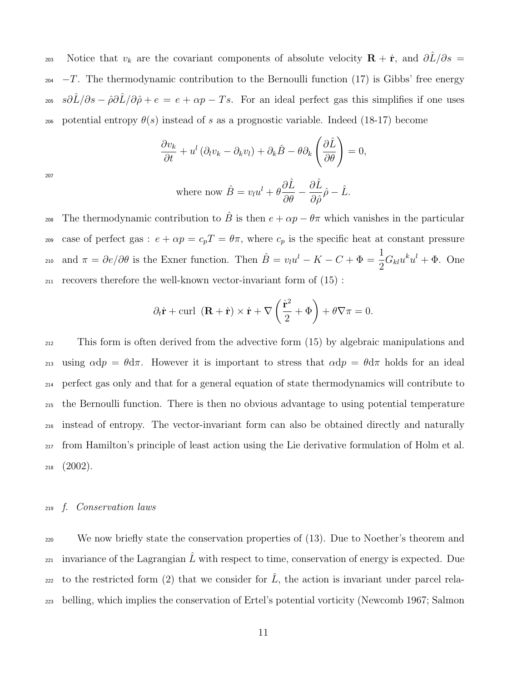203 Notice that  $v_k$  are the covariant components of absolute velocity  $\mathbf{R} + \dot{\mathbf{r}}$ , and  $\partial \hat{L}/\partial s =$  $_{204}$  -T. The thermodynamic contribution to the Bernoulli function (17) is Gibbs' free energy <sup>205</sup> *s∂* $\hat{L}/\partial s - \hat{\rho}\partial \hat{L}/\partial \hat{\rho} + e = e + \alpha p - Ts$ . For an ideal perfect gas this simplifies if one uses 206 potential entropy  $\theta(s)$  instead of s as a prognostic variable. Indeed (18-17) become

$$
\frac{\partial v_k}{\partial t} + u^l \left( \partial_l v_k - \partial_k v_l \right) + \partial_k \hat{B} - \theta \partial_k \left( \frac{\partial \hat{L}}{\partial \theta} \right) = 0,
$$

207

where now 
$$
\hat{B} = v_l u^l + \theta \frac{\partial \hat{L}}{\partial \theta} - \frac{\partial \hat{L}}{\partial \hat{\rho}} \hat{\rho} - \hat{L}.
$$

The thermodynamic contribution to  $\hat{B}$  is then  $e + \alpha p - \theta \pi$  which vanishes in the particular case of perfect gas :  $e + \alpha p = c_p T = \theta \pi$ , where  $c_p$  is the specific heat at constant pressure and  $\pi = \partial e/\partial \theta$  is the Exner function. Then  $\hat{B} = v_l u^l - K - C + \Phi = \frac{1}{2}$ 210 and  $\pi = \partial e / \partial \theta$  is the Exner function. Then  $\hat{B} = v_l u^l - K - C + \Phi = \frac{1}{2} G_{kl} u^k u^l + \Phi$ . One <sup>211</sup> recovers therefore the well-known vector-invariant form of (15) :

$$
\partial_t \dot{\mathbf{r}} + \text{curl } (\mathbf{R} + \dot{\mathbf{r}}) \times \dot{\mathbf{r}} + \nabla \left( \frac{\dot{\mathbf{r}}^2}{2} + \Phi \right) + \theta \nabla \pi = 0.
$$

 This form is often derived from the advective form (15) by algebraic manipulations and 213 using  $\alpha dp = \theta d\pi$ . However it is important to stress that  $\alpha dp = \theta d\pi$  holds for an ideal perfect gas only and that for a general equation of state thermodynamics will contribute to the Bernoulli function. There is then no obvious advantage to using potential temperature instead of entropy. The vector-invariant form can also be obtained directly and naturally from Hamilton's principle of least action using the Lie derivative formulation of Holm et al.  $218 \quad (2002)$ .

#### <sup>219</sup> f. Conservation laws

<sup>220</sup> We now briefly state the conservation properties of (13). Due to Noether's theorem and 221 invariance of the Lagrangian  $\hat{L}$  with respect to time, conservation of energy is expected. Due <sub>222</sub> to the restricted form (2) that we consider for  $\hat{L}$ , the action is invariant under parcel rela-<sup>223</sup> belling, which implies the conservation of Ertel's potential vorticity (Newcomb 1967; Salmon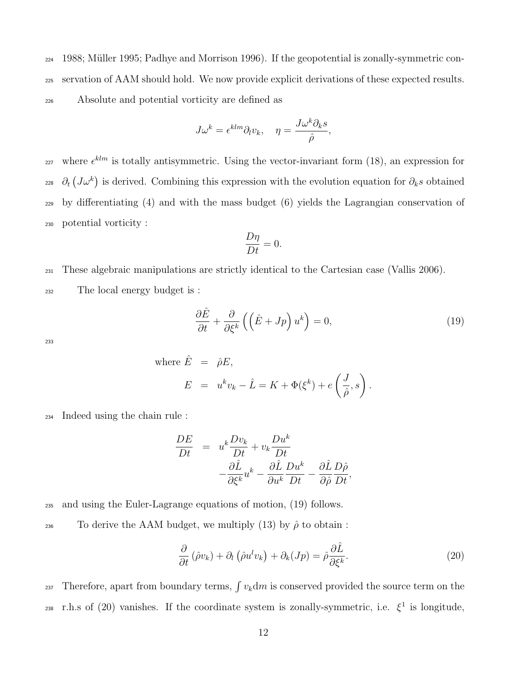$224$  1988; Müller 1995; Padhye and Morrison 1996). If the geopotential is zonally-symmetric con-<sup>225</sup> servation of AAM should hold. We now provide explicit derivations of these expected results. <sup>226</sup> Absolute and potential vorticity are defined as

$$
J\omega^k = \epsilon^{klm} \partial_l v_k, \quad \eta = \frac{J\omega^k \partial_k s}{\hat{\rho}},
$$

<sup>227</sup> where  $\epsilon^{klm}$  is totally antisymmetric. Using the vector-invariant form (18), an expression for <sup>228</sup>  $\partial_t (J\omega^k)$  is derived. Combining this expression with the evolution equation for  $\partial_k s$  obtained <sup>229</sup> by differentiating (4) and with the mass budget (6) yields the Lagrangian conservation of <sup>230</sup> potential vorticity :

$$
\frac{D\eta}{Dt} = 0.
$$

<sup>231</sup> These algebraic manipulations are strictly identical to the Cartesian case (Vallis 2006).

<sup>232</sup> The local energy budget is :

$$
\frac{\partial \hat{E}}{\partial t} + \frac{\partial}{\partial \xi^k} \left( \left( \hat{E} + Jp \right) u^k \right) = 0, \tag{19}
$$

233

where 
$$
\hat{E} = \hat{\rho}E
$$
,  
\n
$$
E = u^k v_k - \hat{L} = K + \Phi(\xi^k) + e\left(\frac{J}{\hat{\rho}}, s\right).
$$

<sup>234</sup> Indeed using the chain rule :

$$
\frac{DE}{Dt} = u^k \frac{Dv_k}{Dt} + v_k \frac{Du^k}{Dt} - \frac{\partial \hat{L}}{\partial \xi^k} u^k - \frac{\partial \hat{L}}{\partial u^k} \frac{Du^k}{Dt} - \frac{\partial \hat{L}}{\partial \hat{\rho}} \frac{D\hat{\rho}}{Dt},
$$

<sup>235</sup> and using the Euler-Lagrange equations of motion, (19) follows.

236 To derive the AAM budget, we multiply (13) by  $\hat{\rho}$  to obtain :

$$
\frac{\partial}{\partial t} \left( \hat{\rho} v_k \right) + \partial_l \left( \hat{\rho} u^l v_k \right) + \partial_k (Jp) = \hat{\rho} \frac{\partial \hat{L}}{\partial \xi^k}.
$$
\n(20)

237 Therefore, apart from boundary terms,  $\int v_k \, \mathrm{d}m$  is conserved provided the source term on the 238 r.h.s of (20) vanishes. If the coordinate system is zonally-symmetric, i.e.  $\xi^1$  is longitude,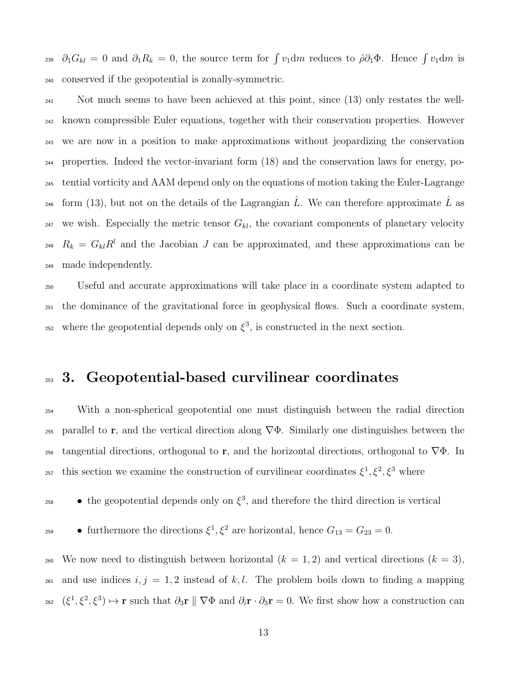<sup>239</sup>  $\partial_1 G_{kl} = 0$  and  $\partial_1 R_k = 0$ , the source term for  $\int v_1 dm$  reduces to  $\hat{\rho} \partial_1 \Phi$ . Hence  $\int v_1 dm$  is <sup>240</sup> conserved if the geopotential is zonally-symmetric.

 Not much seems to have been achieved at this point, since (13) only restates the well- known compressible Euler equations, together with their conservation properties. However we are now in a position to make approximations without jeopardizing the conservation properties. Indeed the vector-invariant form (18) and the conservation laws for energy, po- tential vorticity and AAM depend only on the equations of motion taking the Euler-Lagrange <sup>246</sup> form (13), but not on the details of the Lagrangian  $\hat{L}$ . We can therefore approximate  $\hat{L}$  as <sup>247</sup> we wish. Especially the metric tensor  $G_{kl}$ , the covariant components of planetary velocity <sup>248</sup>  $R_k = G_{kl}R^l$  and the Jacobian J can be approximated, and these approximations can be made independently.

<sup>250</sup> Useful and accurate approximations will take place in a coordinate system adapted to <sup>251</sup> the dominance of the gravitational force in geophysical flows. Such a coordinate system, <sup>252</sup> where the geopotential depends only on  $\xi^3$ , is constructed in the next section.

### <sup>253</sup> 3. Geopotential-based curvilinear coordinates

<sup>254</sup> With a non-spherical geopotential one must distinguish between the radial direction 255 parallel to r, and the vertical direction along  $\nabla \Phi$ . Similarly one distinguishes between the 256 tangential directions, orthogonal to r, and the horizontal directions, orthogonal to  $\nabla \Phi$ . In 257 this section we examine the construction of curvilinear coordinates  $\xi^1, \xi^2, \xi^3$  where

 $\bullet$  the geopotential depends only on  $\xi^3$ , and therefore the third direction is vertical

• furthermore the directions  $\xi^1, \xi^2$  are horizontal, hence  $G_{13} = G_{23} = 0$ .

260 We now need to distinguish between horizontal  $(k = 1, 2)$  and vertical directions  $(k = 3)$ , 261 and use indices  $i, j = 1, 2$  instead of k, l. The problem boils down to finding a mapping 262  $(\xi^1, \xi^2, \xi^3) \mapsto \mathbf{r}$  such that  $\partial_3 \mathbf{r} \parallel \nabla \Phi$  and  $\partial_i \mathbf{r} \cdot \partial_3 \mathbf{r} = 0$ . We first show how a construction can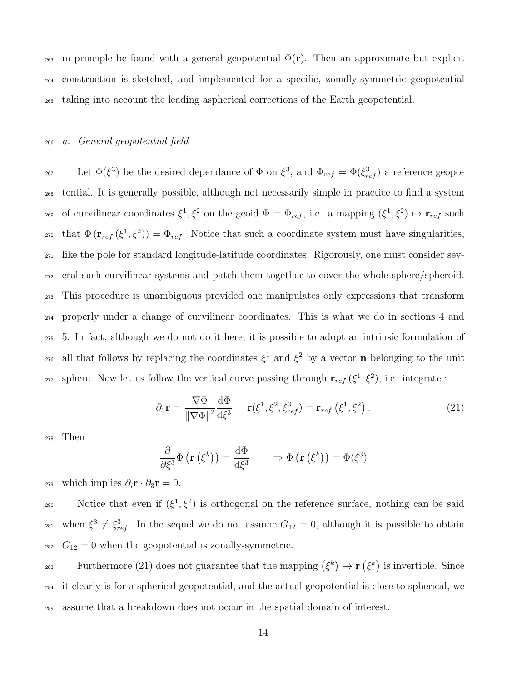263 in principle be found with a general geopotential  $\Phi(\mathbf{r})$ . Then an approximate but explicit <sup>264</sup> construction is sketched, and implemented for a specific, zonally-symmetric geopotential <sup>265</sup> taking into account the leading aspherical corrections of the Earth geopotential.

#### <sup>266</sup> a. General geopotential field

267 Let  $\Phi(\xi^3)$  be the desired dependance of  $\Phi$  on  $\xi^3$ , and  $\Phi_{ref} = \Phi(\xi_{ref}^3)$  a reference geopo-<sup>268</sup> tential. It is generally possible, although not necessarily simple in practice to find a system 269 of curvilinear coordinates  $\xi^1, \xi^2$  on the geoid  $\Phi = \Phi_{ref}$ , i.e. a mapping  $(\xi^1, \xi^2) \mapsto \mathbf{r}_{ref}$  such <sup>270</sup> that  $\Phi(\mathbf{r}_{ref}(\xi^1,\xi^2)) = \Phi_{ref}$ . Notice that such a coordinate system must have singularities, <sup>271</sup> like the pole for standard longitude-latitude coordinates. Rigorously, one must consider sev-<sup>272</sup> eral such curvilinear systems and patch them together to cover the whole sphere/spheroid. <sup>273</sup> This procedure is unambiguous provided one manipulates only expressions that transform <sup>274</sup> properly under a change of curvilinear coordinates. This is what we do in sections 4 and <sup>275</sup> 5. In fact, although we do not do it here, it is possible to adopt an intrinsic formulation of <sup>276</sup> all that follows by replacing the coordinates  $\xi^1$  and  $\xi^2$  by a vector **n** belonging to the unit <sup>277</sup> sphere. Now let us follow the vertical curve passing through  $\mathbf{r}_{ref}(\xi^1, \xi^2)$ , i.e. integrate :

$$
\partial_3 \mathbf{r} = \frac{\nabla \Phi}{\|\nabla \Phi\|^2} \frac{d\Phi}{d\xi^3}, \quad \mathbf{r}(\xi^1, \xi^2, \xi_{ref}^3) = \mathbf{r}_{ref}(\xi^1, \xi^2).
$$
 (21)

<sup>278</sup> Then

$$
\frac{\partial}{\partial \xi^3} \Phi \left( \mathbf{r} \left( \xi^k \right) \right) = \frac{\mathrm{d} \Phi}{\mathrm{d} \xi^3} \qquad \Rightarrow \Phi \left( \mathbf{r} \left( \xi^k \right) \right) = \Phi(\xi^3)
$$

<sup>279</sup> which implies  $\partial_i \mathbf{r} \cdot \partial_3 \mathbf{r} = 0$ .

280 Notice that even if  $(\xi^1, \xi^2)$  is orthogonal on the reference surface, nothing can be said <sup>281</sup> when  $\xi^3 \neq \xi_{ref}^3$ . In the sequel we do not assume  $G_{12} = 0$ , although it is possible to obtain <sup>282</sup>  $G_{12} = 0$  when the geopotential is zonally-symmetric.

Furthermore (21) does not guarantee that the mapping  $(\xi^k) \mapsto \mathbf{r}(\xi^k)$  is invertible. Since <sup>284</sup> it clearly is for a spherical geopotential, and the actual geopotential is close to spherical, we <sup>285</sup> assume that a breakdown does not occur in the spatial domain of interest.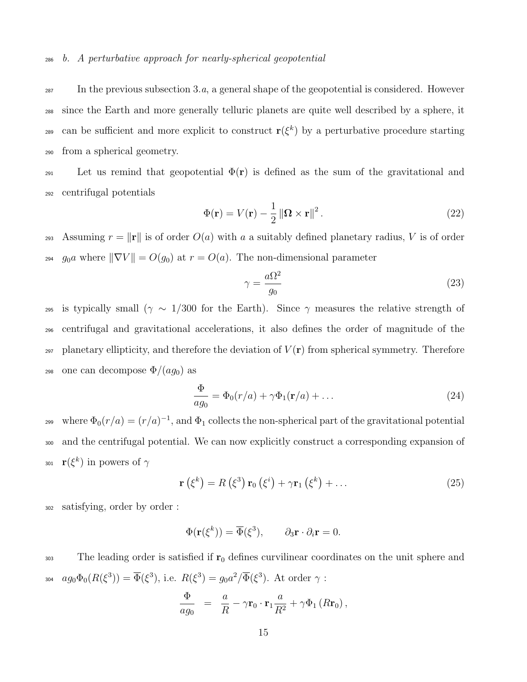In the previous subsection 3.a, a general shape of the geopotential is considered. However since the Earth and more generally telluric planets are quite well described by a sphere, it can be sufficient and more explicit to construct  $r(\xi^k)$  by a perturbative procedure starting from a spherical geometry.

291 Let us remind that geopotential  $\Phi(\mathbf{r})$  is defined as the sum of the gravitational and <sup>292</sup> centrifugal potentials

$$
\Phi(\mathbf{r}) = V(\mathbf{r}) - \frac{1}{2} \left\| \mathbf{\Omega} \times \mathbf{r} \right\|^2.
$$
 (22)

293 Assuming  $r = ||\mathbf{r}||$  is of order  $O(a)$  with a a suitably defined planetary radius, V is of order <sup>294</sup> g<sub>0</sub>a where  $\|\nabla V\| = O(g_0)$  at  $r = O(a)$ . The non-dimensional parameter

$$
\gamma = \frac{a\Omega^2}{g_0} \tag{23}
$$

<sup>295</sup> is typically small ( $\gamma \sim 1/300$  for the Earth). Since  $\gamma$  measures the relative strength of <sup>296</sup> centrifugal and gravitational accelerations, it also defines the order of magnitude of the  $_{297}$  planetary ellipticity, and therefore the deviation of  $V(\bf{r})$  from spherical symmetry. Therefore 298 one can decompose  $\Phi/(ag_0)$  as

$$
\frac{\Phi}{ag_0} = \Phi_0(r/a) + \gamma \Phi_1(\mathbf{r}/a) + \dots \tag{24}
$$

where  $\Phi_0(r/a) = (r/a)^{-1}$ , and  $\Phi_1$  collects the non-spherical part of the gravitational potential <sup>300</sup> and the centrifugal potential. We can now explicitly construct a corresponding expansion of 301  $\mathbf{r}(\xi^k)$  in powers of  $\gamma$ 

$$
\mathbf{r}\left(\xi^{k}\right) = R\left(\xi^{3}\right)\mathbf{r}_{0}\left(\xi^{i}\right) + \gamma\mathbf{r}_{1}\left(\xi^{k}\right) + \dots \tag{25}
$$

<sup>302</sup> satisfying, order by order :

$$
\Phi(\mathbf{r}(\xi^k)) = \overline{\Phi}(\xi^3), \qquad \partial_3 \mathbf{r} \cdot \partial_i \mathbf{r} = 0.
$$

303 The leading order is satisfied if  $r_0$  defines curvilinear coordinates on the unit sphere and 304  $ag_0\Phi_0(R(\xi^3)) = \overline{\Phi}(\xi^3)$ , i.e.  $R(\xi^3) = g_0a^2/\overline{\Phi}(\xi^3)$ . At order  $\gamma$ :

$$
\frac{\Phi}{ag_0} = \frac{a}{R} - \gamma \mathbf{r}_0 \cdot \mathbf{r}_1 \frac{a}{R^2} + \gamma \Phi_1 (R \mathbf{r}_0),
$$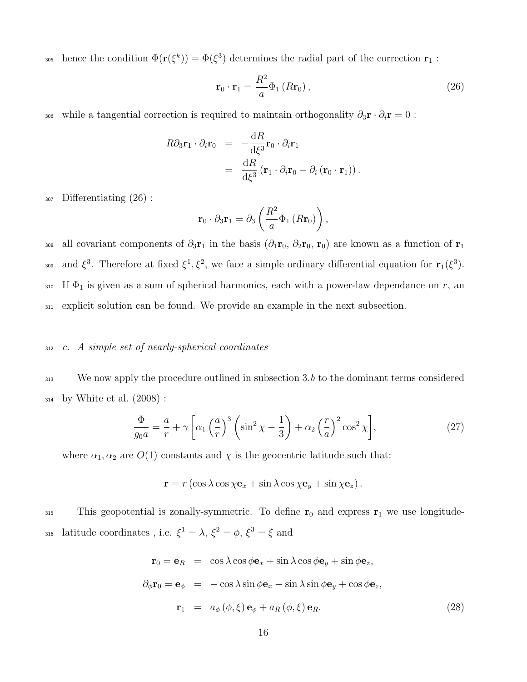305 hence the condition  $\Phi(\mathbf{r}(\xi^k)) = \overline{\Phi}(\xi^3)$  determines the radial part of the correction  $\mathbf{r}_1$ :

$$
\mathbf{r}_0 \cdot \mathbf{r}_1 = \frac{R^2}{a} \Phi_1(R\mathbf{r}_0), \qquad (26)
$$

306 while a tangential correction is required to maintain orthogonality  $\partial_3 \mathbf{r} \cdot \partial_i \mathbf{r} = 0$ :

$$
R\partial_3 \mathbf{r}_1 \cdot \partial_i \mathbf{r}_0 = -\frac{dR}{d\xi^3} \mathbf{r}_0 \cdot \partial_i \mathbf{r}_1
$$
  
= 
$$
\frac{dR}{d\xi^3} (\mathbf{r}_1 \cdot \partial_i \mathbf{r}_0 - \partial_i (\mathbf{r}_0 \cdot \mathbf{r}_1)).
$$

<sup>307</sup> Differentiating (26) :

$$
\mathbf{r}_0 \cdot \partial_3 \mathbf{r}_1 = \partial_3 \left( \frac{R^2}{a} \Phi_1 \left( R \mathbf{r}_0 \right) \right),
$$

308 all covariant components of  $\partial_3r_1$  in the basis  $(\partial_1r_0, \partial_2r_0, r_0)$  are known as a function of  $r_1$ and  $\xi^3$ . Therefore at fixed  $\xi^1, \xi^2$ , we face a simple ordinary differential equation for  $\mathbf{r}_1(\xi^3)$ . 310 If  $\Phi_1$  is given as a sum of spherical harmonics, each with a power-law dependance on r, an <sup>311</sup> explicit solution can be found. We provide an example in the next subsection.

#### <sup>312</sup> c. A simple set of nearly-spherical coordinates

313 We now apply the procedure outlined in subsection 3.b to the dominant terms considered <sup>314</sup> by White et al. (2008) :

$$
\frac{\Phi}{g_0 a} = \frac{a}{r} + \gamma \left[ \alpha_1 \left( \frac{a}{r} \right)^3 \left( \sin^2 \chi - \frac{1}{3} \right) + \alpha_2 \left( \frac{r}{a} \right)^2 \cos^2 \chi \right],\tag{27}
$$

where  $\alpha_1, \alpha_2$  are  $O(1)$  constants and  $\chi$  is the geocentric latitude such that:

$$
\mathbf{r} = r \left( \cos \lambda \cos \chi \mathbf{e}_x + \sin \lambda \cos \chi \mathbf{e}_y + \sin \chi \mathbf{e}_z \right).
$$

<sup>315</sup> This geopotential is zonally-symmetric. To define  $r_0$  and express  $r_1$  we use longitude-316 latitude coordinates, i.e.  $\xi^1 = \lambda$ ,  $\xi^2 = \phi$ ,  $\xi^3 = \xi$  and

$$
\mathbf{r}_0 = \mathbf{e}_R = \cos \lambda \cos \phi \mathbf{e}_x + \sin \lambda \cos \phi \mathbf{e}_y + \sin \phi \mathbf{e}_z,
$$
  
\n
$$
\partial_{\phi} \mathbf{r}_0 = \mathbf{e}_{\phi} = -\cos \lambda \sin \phi \mathbf{e}_x - \sin \lambda \sin \phi \mathbf{e}_y + \cos \phi \mathbf{e}_z,
$$
  
\n
$$
\mathbf{r}_1 = a_{\phi} (\phi, \xi) \mathbf{e}_{\phi} + a_R (\phi, \xi) \mathbf{e}_R.
$$
\n(28)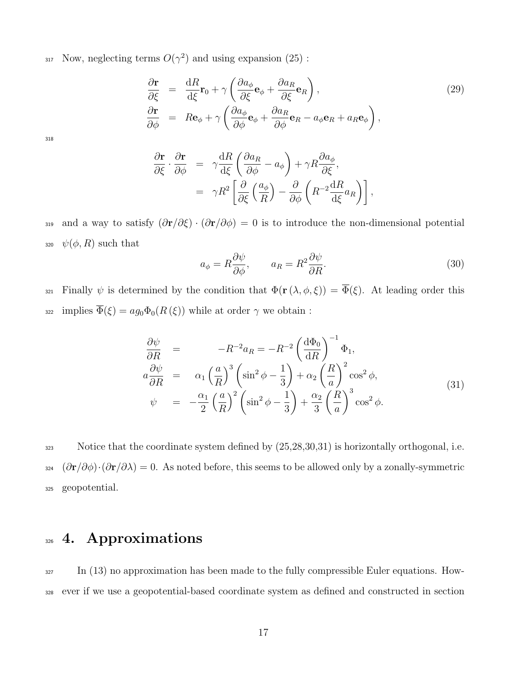$_{317}$  Now, neglecting terms  $O(\gamma^2)$  and using expansion (25):

$$
\frac{\partial \mathbf{r}}{\partial \xi} = \frac{dR}{d\xi} \mathbf{r}_0 + \gamma \left( \frac{\partial a_{\phi}}{\partial \xi} \mathbf{e}_{\phi} + \frac{\partial a_R}{\partial \xi} \mathbf{e}_R \right), \n\frac{\partial \mathbf{r}}{\partial \phi} = Re_{\phi} + \gamma \left( \frac{\partial a_{\phi}}{\partial \phi} \mathbf{e}_{\phi} + \frac{\partial a_R}{\partial \phi} \mathbf{e}_R - a_{\phi} \mathbf{e}_R + a_R \mathbf{e}_{\phi} \right),
$$
\n(29)

318

$$
\frac{\partial \mathbf{r}}{\partial \xi} \cdot \frac{\partial \mathbf{r}}{\partial \phi} = \gamma \frac{\mathrm{d}R}{\mathrm{d}\xi} \left( \frac{\partial a_R}{\partial \phi} - a_\phi \right) + \gamma R \frac{\partial a_\phi}{\partial \xi},
$$
  

$$
= \gamma R^2 \left[ \frac{\partial}{\partial \xi} \left( \frac{a_\phi}{R} \right) - \frac{\partial}{\partial \phi} \left( R^{-2} \frac{\mathrm{d}R}{\mathrm{d}\xi} a_R \right) \right],
$$

319 and a way to satisfy  $(\partial \mathbf{r}/\partial \xi) \cdot (\partial \mathbf{r}/\partial \phi) = 0$  is to introduce the non-dimensional potential 320  $\psi(\phi, R)$  such that

$$
a_{\phi} = R \frac{\partial \psi}{\partial \phi}, \qquad a_R = R^2 \frac{\partial \psi}{\partial R}.
$$
\n(30)

321 Finally  $\psi$  is determined by the condition that  $\Phi(\mathbf{r}(\lambda,\phi,\xi)) = \overline{\Phi}(\xi)$ . At leading order this 322 implies  $\overline{\Phi}(\xi) = ag_0\Phi_0(R(\xi))$  while at order  $\gamma$  we obtain :

$$
\frac{\partial \psi}{\partial R} = -R^{-2}a_R = -R^{-2} \left(\frac{d\Phi_0}{dR}\right)^{-1} \Phi_1,
$$
\n
$$
a\frac{\partial \psi}{\partial R} = \alpha_1 \left(\frac{a}{R}\right)^3 \left(\sin^2 \phi - \frac{1}{3}\right) + \alpha_2 \left(\frac{R}{a}\right)^2 \cos^2 \phi,
$$
\n
$$
\psi = -\frac{\alpha_1}{2} \left(\frac{a}{R}\right)^2 \left(\sin^2 \phi - \frac{1}{3}\right) + \frac{\alpha_2}{3} \left(\frac{R}{a}\right)^3 \cos^2 \phi.
$$
\n(31)

323 Notice that the coordinate system defined by  $(25,28,30,31)$  is horizontally orthogonal, i.e. 324  $(\partial \mathbf{r}/\partial \phi) \cdot (\partial \mathbf{r}/\partial \lambda) = 0$ . As noted before, this seems to be allowed only by a zonally-symmetric <sup>325</sup> geopotential.

### 326 4. Approximations

<sup>327</sup> In (13) no approximation has been made to the fully compressible Euler equations. How-<sup>328</sup> ever if we use a geopotential-based coordinate system as defined and constructed in section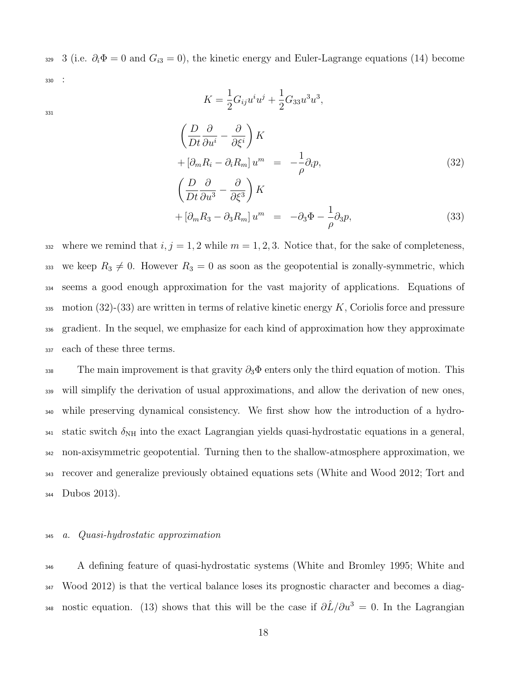329 3 (i.e.  $\partial_i \Phi = 0$  and  $G_{i3} = 0$ ), the kinetic energy and Euler-Lagrange equations (14) become <sup>330</sup> :

 $K =$ 

1

331

$$
K = \frac{1}{2} G_{ij} u^i u^j + \frac{1}{2} G_{33} u^3 u^3,
$$
  

$$
\left(\frac{D}{Dt} \frac{\partial}{\partial u^i} - \frac{\partial}{\partial \xi^i}\right) K
$$
  

$$
+ \left[\partial_m R_i - \partial_i R_m\right] u^m = -\frac{1}{\rho} \partial_i p,
$$
  

$$
\left(\frac{D}{Dt} \frac{\partial}{\partial u^3} - \frac{\partial}{\partial \xi^3}\right) K
$$
  

$$
+ \left[\partial_m R_3 - \partial_3 R_m\right] u^m = -\partial_3 \Phi - \frac{1}{\rho} \partial_3 p,
$$
 (33)

332 where we remind that  $i, j = 1, 2$  while  $m = 1, 2, 3$ . Notice that, for the sake of completeness, 333 we keep  $R_3 \neq 0$ . However  $R_3 = 0$  as soon as the geopotential is zonally-symmetric, which <sup>334</sup> seems a good enough approximation for the vast majority of applications. Equations of 335 motion (32)-(33) are written in terms of relative kinetic energy  $K$ , Coriolis force and pressure <sup>336</sup> gradient. In the sequel, we emphasize for each kind of approximation how they approximate <sup>337</sup> each of these three terms.

338 The main improvement is that gravity  $\partial_3\Phi$  enters only the third equation of motion. This will simplify the derivation of usual approximations, and allow the derivation of new ones, while preserving dynamical consistency. We first show how the introduction of a hydro-341 static switch  $\delta_{\text{NH}}$  into the exact Lagrangian yields quasi-hydrostatic equations in a general, non-axisymmetric geopotential. Turning then to the shallow-atmosphere approximation, we recover and generalize previously obtained equations sets (White and Wood 2012; Tort and Dubos 2013).

#### <sup>345</sup> a. Quasi-hydrostatic approximation

<sup>346</sup> A defining feature of quasi-hydrostatic systems (White and Bromley 1995; White and <sup>347</sup> Wood 2012) is that the vertical balance loses its prognostic character and becomes a diag-348 nostic equation. (13) shows that this will be the case if  $\partial \hat{L}/\partial u^3 = 0$ . In the Lagrangian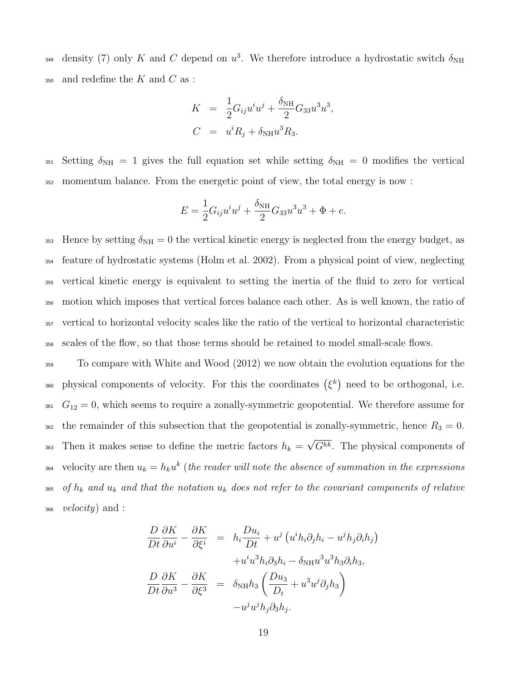density (7) only K and C depend on  $u^3$ . We therefore introduce a hydrostatic switch  $\delta_{NH}$  $_{350}$  and redefine the K and C as :

$$
K = \frac{1}{2}G_{ij}u^iu^j + \frac{\delta_{\text{NH}}}{2}G_{33}u^3u^3,
$$
  

$$
C = u^iR_j + \delta_{\text{NH}}u^3R_3.
$$

351 Setting  $\delta_{\text{NH}} = 1$  gives the full equation set while setting  $\delta_{\text{NH}} = 0$  modifies the vertical <sup>352</sup> momentum balance. From the energetic point of view, the total energy is now :

$$
E = \frac{1}{2}G_{ij}u^{i}u^{j} + \frac{\delta_{\text{NH}}}{2}G_{33}u^{3}u^{3} + \Phi + e.
$$

353 Hence by setting  $\delta_{\text{NH}} = 0$  the vertical kinetic energy is neglected from the energy budget, as feature of hydrostatic systems (Holm et al. 2002). From a physical point of view, neglecting vertical kinetic energy is equivalent to setting the inertia of the fluid to zero for vertical motion which imposes that vertical forces balance each other. As is well known, the ratio of vertical to horizontal velocity scales like the ratio of the vertical to horizontal characteristic scales of the flow, so that those terms should be retained to model small-scale flows.

<sup>359</sup> To compare with White and Wood (2012) we now obtain the evolution equations for the 360 physical components of velocity. For this the coordinates  $(\xi^k)$  need to be orthogonal, i.e.  $G_{12} = 0$ , which seems to require a zonally-symmetric geopotential. We therefore assume for 362 the remainder of this subsection that the geopotential is zonally-symmetric, hence  $R_3 = 0$ . Then it makes sense to define the metric factors  $h_k =$ √  $S_{363}$  Then it makes sense to define the metric factors  $h_k = \sqrt{G^{kk}}$ . The physical components of  $S_{364}$  velocity are then  $u_k = h_k u^k$  (the reader will note the absence of summation in the expressions 365 of  $h_k$  and  $u_k$  and that the notation  $u_k$  does not refer to the covariant components of relative  $1366$  *velocity*) and :

$$
\frac{D}{Dt}\frac{\partial K}{\partial u^i} - \frac{\partial K}{\partial \xi^i} = h_i \frac{Du_i}{Dt} + u^j \left( u^i h_i \partial_j h_i - u^j h_j \partial_i h_j \right) \n+ u^i u^3 h_i \partial_3 h_i - \delta_{\text{NH}} u^3 u^3 h_3 \partial_i h_3, \n\frac{D}{Dt}\frac{\partial K}{\partial u^3} - \frac{\partial K}{\partial \xi^3} = \delta_{\text{NH}} h_3 \left( \frac{Du_3}{D_t} + u^3 u^j \partial_j h_3 \right) \n- u^j u^j h_j \partial_3 h_j.
$$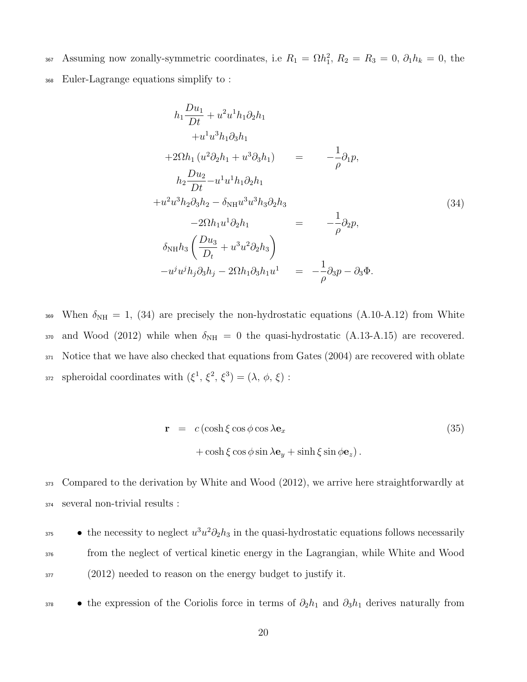- 367 Assuming now zonally-symmetric coordinates, i.e  $R_1 = \Omega h_1^2$ ,  $R_2 = R_3 = 0$ ,  $\partial_1 h_k = 0$ , the
- <sup>368</sup> Euler-Lagrange equations simplify to :

$$
h_{1} \frac{Du_{1}}{Dt} + u^{2}u^{1}h_{1}\partial_{2}h_{1} + u^{1}u^{3}h_{1}\partial_{3}h_{1} + 2\Omega h_{1} (u^{2}\partial_{2}h_{1} + u^{3}\partial_{3}h_{1}) = -\frac{1}{\rho}\partial_{1}p,
$$
  
\n
$$
h_{2} \frac{Du_{2}}{Dt} - u^{1}u^{1}h_{1}\partial_{2}h_{1} + u^{2}u^{3}h_{2}\partial_{3}h_{2} - \delta_{NH}u^{3}u^{3}h_{3}\partial_{2}h_{3} - 2\Omega h_{1}u^{1}\partial_{2}h_{1} = -\frac{1}{\rho}\partial_{2}p,
$$
  
\n
$$
\delta_{NH}h_{3} \left(\frac{Du_{3}}{D_{t}} + u^{3}u^{2}\partial_{2}h_{3}\right) - u^{j}u^{j}h_{j}\partial_{3}h_{j} - 2\Omega h_{1}\partial_{3}h_{1}u^{1} = -\frac{1}{\rho}\partial_{3}p - \partial_{3}\Phi.
$$
\n(34)

369 When  $\delta_{\text{NH}} = 1$ , (34) are precisely the non-hydrostatic equations (A.10-A.12) from White 370 and Wood (2012) while when  $\delta_{NH} = 0$  the quasi-hydrostatic (A.13-A.15) are recovered. 371 Notice that we have also checked that equations from Gates (2004) are recovered with oblate 372 spheroidal coordinates with  $(\xi^1, \xi^2, \xi^3) = (\lambda, \phi, \xi)$ :

$$
\mathbf{r} = c (\cosh \xi \cos \phi \cos \lambda \mathbf{e}_x + \cosh \xi \cos \phi \sin \lambda \mathbf{e}_y + \sinh \xi \sin \phi \mathbf{e}_z).
$$
 (35)

<sup>373</sup> Compared to the derivation by White and Wood (2012), we arrive here straightforwardly at <sup>374</sup> several non-trivial results :

- the necessity to neglect  $u^3u^2\partial_2h_3$  in the quasi-hydrostatic equations follows necessarily <sup>376</sup> from the neglect of vertical kinetic energy in the Lagrangian, while White and Wood <sup>377</sup> (2012) needed to reason on the energy budget to justify it.
- 

<sup>378</sup> • the expression of the Coriolis force in terms of  $\partial_2 h_1$  and  $\partial_3 h_1$  derives naturally from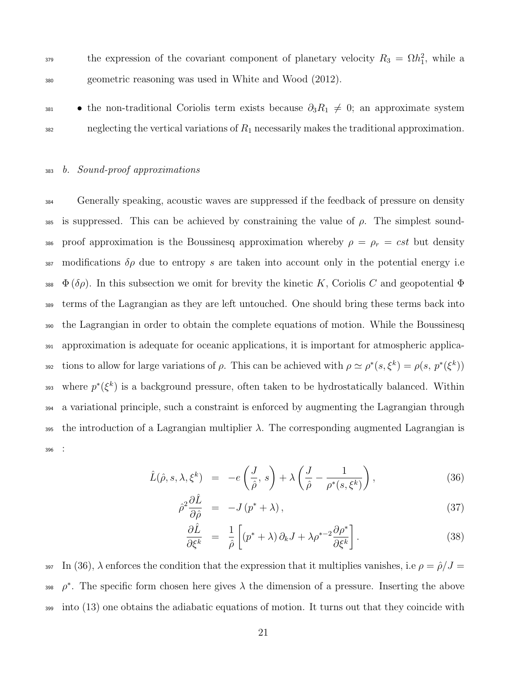$\epsilon_{379}$  the expression of the covariant component of planetary velocity  $R_3 = \Omega h_1^2$ , while a <sup>380</sup> geometric reasoning was used in White and Wood (2012).

• the non-traditional Coriolis term exists because  $\partial_3 R_1 \neq 0$ ; an approximate system  $382$  neglecting the vertical variations of  $R_1$  necessarily makes the traditional approximation.

#### <sup>383</sup> b. Sound-proof approximations

<sup>384</sup> Generally speaking, acoustic waves are suppressed if the feedback of pressure on density 385 is suppressed. This can be achieved by constraining the value of  $\rho$ . The simplest sound-386 proof approximation is the Boussinesq approximation whereby  $\rho = \rho_r = cst$  but density 387 modifications  $\delta \rho$  due to entropy s are taken into account only in the potential energy i.e 388  $\Phi(\delta \rho)$ . In this subsection we omit for brevity the kinetic K, Coriolis C and geopotential  $\Phi$ <sup>389</sup> terms of the Lagrangian as they are left untouched. One should bring these terms back into <sup>390</sup> the Lagrangian in order to obtain the complete equations of motion. While the Boussinesq <sup>391</sup> approximation is adequate for oceanic applications, it is important for atmospheric applica-392 tions to allow for large variations of  $\rho$ . This can be achieved with  $\rho \simeq \rho^*(s, \xi^k) = \rho(s, p^*(\xi^k))$ 393 where  $p^*(\xi^k)$  is a background pressure, often taken to be hydrostatically balanced. Within <sup>394</sup> a variational principle, such a constraint is enforced by augmenting the Lagrangian through 395 the introduction of a Lagrangian multiplier  $\lambda$ . The corresponding augmented Lagrangian is <sup>396</sup> :

$$
\hat{L}(\hat{\rho}, s, \lambda, \xi^k) = -e\left(\frac{J}{\hat{\rho}}, s\right) + \lambda \left(\frac{J}{\hat{\rho}} - \frac{1}{\rho^*(s, \xi^k)}\right),\tag{36}
$$

$$
\hat{\rho}^2 \frac{\partial \hat{L}}{\partial \hat{\rho}} = -J(p^* + \lambda), \qquad (37)
$$

$$
\frac{\partial \hat{L}}{\partial \xi^k} = \frac{1}{\hat{\rho}} \left[ (p^* + \lambda) \partial_k J + \lambda \rho^{*-2} \frac{\partial \rho^*}{\partial \xi^k} \right]. \tag{38}
$$

397 In (36),  $\lambda$  enforces the condition that the expression that it multiplies vanishes, i.e  $\rho = \hat{\rho}/J =$ <sup>398</sup>  $\rho^*$ . The specific form chosen here gives  $\lambda$  the dimension of a pressure. Inserting the above <sup>399</sup> into (13) one obtains the adiabatic equations of motion. It turns out that they coincide with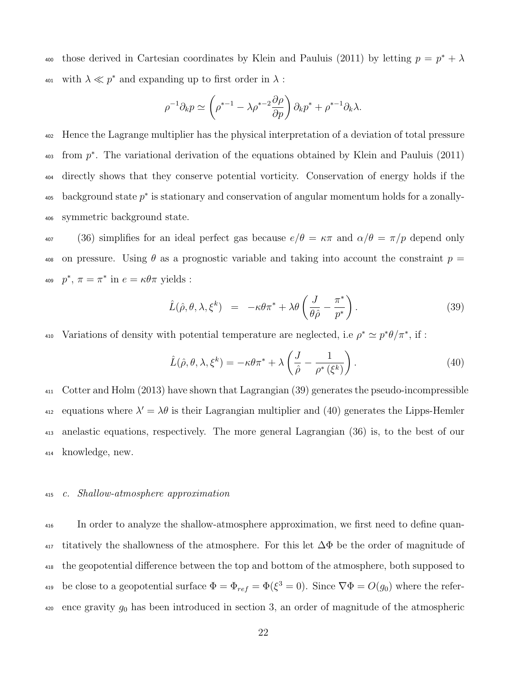<sup>400</sup> those derived in Cartesian coordinates by Klein and Pauluis (2011) by letting  $p = p^* + \lambda$ <sup>401</sup> with  $\lambda \ll p^*$  and expanding up to first order in  $\lambda$ :

$$
\rho^{-1}\partial_k p \simeq \left(\rho^{*-1} - \lambda \rho^{*-2}\frac{\partial \rho}{\partial p}\right)\partial_k p^* + \rho^{*-1}\partial_k \lambda.
$$

<sup>402</sup> Hence the Lagrange multiplier has the physical interpretation of a deviation of total pressure  $_{403}$  from  $p^*$ . The variational derivation of the equations obtained by Klein and Pauluis (2011) <sup>404</sup> directly shows that they conserve potential vorticity. Conservation of energy holds if the  $\alpha$ <sub>405</sub> background state  $p^*$  is stationary and conservation of angular momentum holds for a zonally-<sup>406</sup> symmetric background state.

407 (36) simplifies for an ideal perfect gas because  $e/\theta = \kappa \pi$  and  $\alpha/\theta = \pi/p$  depend only 408 on pressure. Using  $\theta$  as a prognostic variable and taking into account the constraint  $p =$ <sup>409</sup>  $p^*, \pi = \pi^*$  in  $e = \kappa \theta \pi$  yields :

$$
\hat{L}(\hat{\rho}, \theta, \lambda, \xi^k) = -\kappa \theta \pi^* + \lambda \theta \left( \frac{J}{\theta \hat{\rho}} - \frac{\pi^*}{p^*} \right). \tag{39}
$$

410 Variations of density with potential temperature are neglected, i.e  $\rho^* \simeq p^* \theta / \pi^*$ , if :

$$
\hat{L}(\hat{\rho}, \theta, \lambda, \xi^k) = -\kappa \theta \pi^* + \lambda \left( \frac{J}{\hat{\rho}} - \frac{1}{\rho^* (\xi^k)} \right). \tag{40}
$$

 Cotter and Holm (2013) have shown that Lagrangian (39) generates the pseudo-incompressible <sup>412</sup> equations where  $\lambda' = \lambda \theta$  is their Lagrangian multiplier and (40) generates the Lipps-Hemler anelastic equations, respectively. The more general Lagrangian (36) is, to the best of our knowledge, new.

#### <sup>415</sup> c. Shallow-atmosphere approximation

<sup>416</sup> In order to analyze the shallow-atmosphere approximation, we first need to define quan- $417$  titatively the shallowness of the atmosphere. For this let  $\Delta\Phi$  be the order of magnitude of <sup>418</sup> the geopotential difference between the top and bottom of the atmosphere, both supposed to <sup>419</sup> be close to a geopotential surface  $\Phi = \Phi_{ref} = \Phi(\xi^3 = 0)$ . Since  $\nabla \Phi = O(g_0)$  where the refer-420 ence gravity  $g_0$  has been introduced in section 3, an order of magnitude of the atmospheric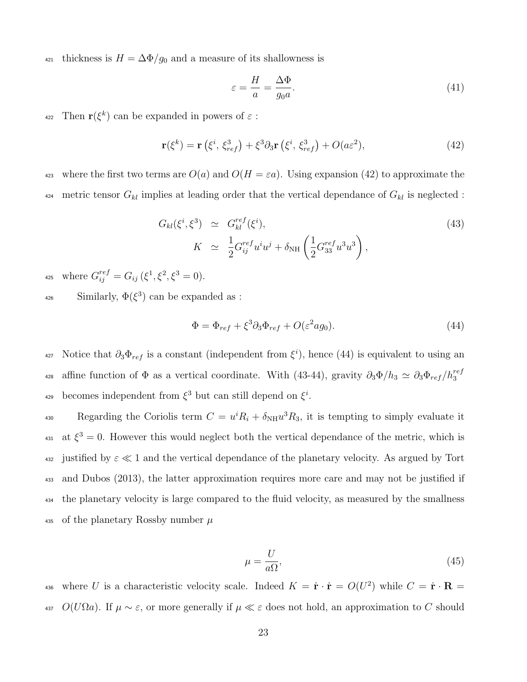421 thickness is  $H = \Delta \Phi / g_0$  and a measure of its shallowness is

$$
\varepsilon = \frac{H}{a} = \frac{\Delta \Phi}{g_0 a}.\tag{41}
$$

 $r(\xi^k)$  can be expanded in powers of  $\varepsilon$ :

$$
\mathbf{r}(\xi^k) = \mathbf{r}\left(\xi^i, \xi_{ref}^3\right) + \xi^3 \partial_3 \mathbf{r}\left(\xi^i, \xi_{ref}^3\right) + O(a\varepsilon^2),\tag{42}
$$

423 where the first two terms are  $O(a)$  and  $O(H = \varepsilon a)$ . Using expansion (42) to approximate the <sup>424</sup> metric tensor  $G_{kl}$  implies at leading order that the vertical dependance of  $G_{kl}$  is neglected :

$$
G_{kl}(\xi^i, \xi^3) \simeq G_{kl}^{ref}(\xi^i),
$$
  
\n
$$
K \simeq \frac{1}{2} G_{ij}^{ref} u^i u^j + \delta_{\text{NH}} \left( \frac{1}{2} G_{33}^{ref} u^3 u^3 \right),
$$
\n(43)

425 where  $G_{ij}^{ref} = G_{ij} (\xi^1, \xi^2, \xi^3 = 0)$ .

<sup>426</sup> Similarly,  $\Phi(\xi^3)$  can be expanded as :

$$
\Phi = \Phi_{ref} + \xi^3 \partial_3 \Phi_{ref} + O(\varepsilon^2 a g_0). \tag{44}
$$

427 Notice that  $\partial_3 \Phi_{ref}$  is a constant (independent from  $\xi^i$ ), hence (44) is equivalent to using an affine function of  $\Phi$  as a vertical coordinate. With (43-44), gravity  $\partial_3\Phi/h_3 \simeq \partial_3\Phi_{ref}/h_3^{ref}$ 428 <sup>429</sup> becomes independent from  $\xi^3$  but can still depend on  $\xi^i$ .

Regarding the Coriolis term  $C = u^i R_i + \delta_{\text{NH}} u^3 R_3$ , it is tempting to simply evaluate it <sup>431</sup> at  $\xi^3 = 0$ . However this would neglect both the vertical dependance of the metric, which is 432 justified by  $\varepsilon \ll 1$  and the vertical dependance of the planetary velocity. As argued by Tort <sup>433</sup> and Dubos (2013), the latter approximation requires more care and may not be justified if <sup>434</sup> the planetary velocity is large compared to the fluid velocity, as measured by the smallness 435 of the planetary Rossby number  $\mu$ 

$$
\mu = \frac{U}{a\Omega},\tag{45}
$$

436 where U is a characteristic velocity scale. Indeed  $K = \dot{\mathbf{r}} \cdot \dot{\mathbf{r}} = O(U^2)$  while  $C = \dot{\mathbf{r}} \cdot \mathbf{R} =$ 437  $O(U\Omega a)$ . If  $\mu \sim \varepsilon$ , or more generally if  $\mu \ll \varepsilon$  does not hold, an approximation to C should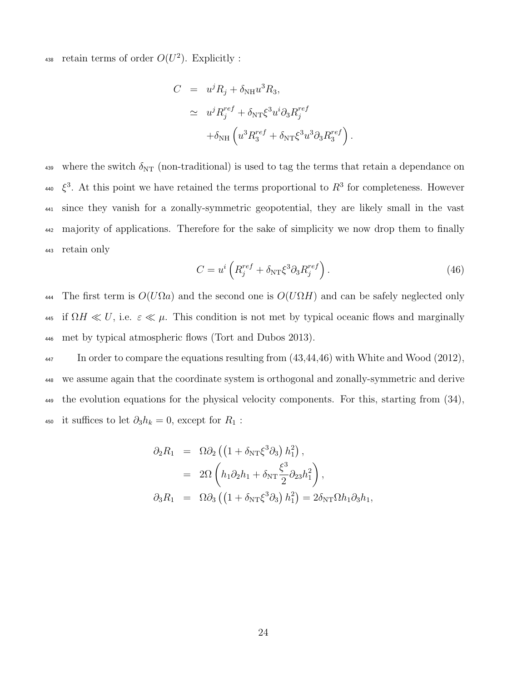438 retain terms of order  $O(U^2)$ . Explicitly :

$$
C = u^{j} R_{j} + \delta_{\text{NH}} u^{3} R_{3},
$$
  
\n
$$
\simeq u^{j} R_{j}^{ref} + \delta_{\text{NT}} \xi^{3} u^{i} \partial_{3} R_{j}^{ref}
$$
  
\n
$$
+ \delta_{\text{NH}} \left( u^{3} R_{3}^{ref} + \delta_{\text{NT}} \xi^{3} u^{3} \partial_{3} R_{3}^{ref} \right)
$$

439 where the switch  $\delta_{NT}$  (non-traditional) is used to tag the terms that retain a dependance on  $\zeta^3$ . At this point we have retained the terms proportional to  $R^3$  for completeness. However <sup>441</sup> since they vanish for a zonally-symmetric geopotential, they are likely small in the vast <sup>442</sup> majority of applications. Therefore for the sake of simplicity we now drop them to finally <sup>443</sup> retain only

$$
C = u^i \left( R_j^{ref} + \delta_{NT} \xi^3 \partial_3 R_j^{ref} \right). \tag{46}
$$

.

444 The first term is  $O(U\Omega a)$  and the second one is  $O(U\Omega H)$  and can be safely neglected only 445 if  $\Omega H \ll U$ , i.e.  $\varepsilon \ll \mu$ . This condition is not met by typical oceanic flows and marginally <sup>446</sup> met by typical atmospheric flows (Tort and Dubos 2013).

<sup>447</sup> In order to compare the equations resulting from  $(43,44,46)$  with White and Wood  $(2012)$ , <sup>448</sup> we assume again that the coordinate system is orthogonal and zonally-symmetric and derive <sup>449</sup> the evolution equations for the physical velocity components. For this, starting from (34), 450 it suffices to let  $\partial_3 h_k = 0$ , except for  $R_1$ :

$$
\partial_2 R_1 = \Omega \partial_2 \left( \left( 1 + \delta_{NT} \xi^3 \partial_3 \right) h_1^2 \right),
$$
  
\n
$$
= 2\Omega \left( h_1 \partial_2 h_1 + \delta_{NT} \frac{\xi^3}{2} \partial_{23} h_1^2 \right),
$$
  
\n
$$
\partial_3 R_1 = \Omega \partial_3 \left( \left( 1 + \delta_{NT} \xi^3 \partial_3 \right) h_1^2 \right) = 2\delta_{NT} \Omega h_1 \partial_3 h_1,
$$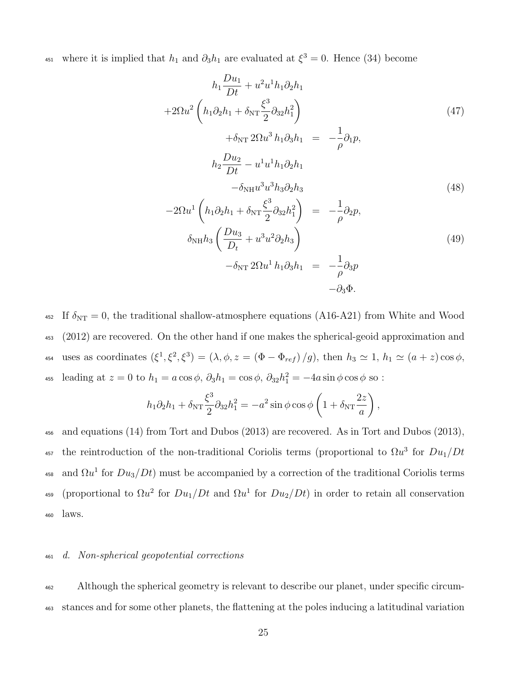451 where it is implied that  $h_1$  and  $\partial_3 h_1$  are evaluated at  $\xi^3 = 0$ . Hence (34) become

$$
h_1 \frac{Du_1}{Dt} + u^2 u^1 h_1 \partial_2 h_1
$$
  
+2\Omega u<sup>2</sup>  $\left( h_1 \partial_2 h_1 + \delta_{\rm NT} \frac{\xi^3}{2} \partial_{32} h_1^2 \right)$   
+ \delta\_{\rm NT} 2\Omega u^3 h\_1 \partial\_3 h\_1 = -\frac{1}{\rho} \partial\_1 p,  

$$
h_2 \frac{Du_2}{Dt} - u^1 u^1 h_1 \partial_2 h_1
$$
  
- \delta\_{\rm NH} u^3 u^3 h\_3 \partial\_2 h\_3  
-2\Omega u^1  $\left( h_1 \partial_2 h_1 + \delta_{\rm NT} \frac{\xi^3}{2} \partial_{32} h_1^2 \right) = -\frac{1}{\rho} \partial_2 p,$   

$$
\delta_{\rm NH} h_3 \left( \frac{Du_3}{Dt} + u^3 u^2 \partial_2 h_3 \right)
$$
  
- \delta\_{\rm NT} 2\Omega u^1 h\_1 \partial\_3 h\_1 = -\frac{1}{\rho} \partial\_3 p  
- \partial\_3 \Phi.

452 If  $\delta_{\text{NT}} = 0$ , the traditional shallow-atmosphere equations (A16-A21) from White and Wood <sup>453</sup> (2012) are recovered. On the other hand if one makes the spherical-geoid approximation and 454 uses as coordinates  $(\xi^1, \xi^2, \xi^3) = (\lambda, \phi, z = (\Phi - \Phi_{ref})/g)$ , then  $h_3 \simeq 1$ ,  $h_1 \simeq (a + z) \cos \phi$ , <sup>455</sup> leading at  $z = 0$  to  $h_1 = a \cos \phi$ ,  $\partial_3 h_1 = \cos \phi$ ,  $\partial_{32} h_1^2 = -4a \sin \phi \cos \phi$  so :

$$
h_1 \partial_2 h_1 + \delta_{\rm NT} \frac{\xi^3}{2} \partial_{32} h_1^2 = -a^2 \sin \phi \cos \phi \left( 1 + \delta_{\rm NT} \frac{2z}{a} \right),
$$

<sup>456</sup> and equations (14) from Tort and Dubos (2013) are recovered. As in Tort and Dubos (2013), 457 the reintroduction of the non-traditional Coriolis terms (proportional to  $\Omega u^3$  for  $Du_1/Dt$ 458 and  $\Omega u^1$  for  $Du_3/Dt$ ) must be accompanied by a correction of the traditional Coriolis terms 459 (proportional to  $\Omega u^2$  for  $Du_1/Dt$  and  $\Omega u^1$  for  $Du_2/Dt$ ) in order to retain all conservation <sup>460</sup> laws.

#### <sup>461</sup> d. Non-spherical geopotential corrections

<sup>462</sup> Although the spherical geometry is relevant to describe our planet, under specific circum-<sup>463</sup> stances and for some other planets, the flattening at the poles inducing a latitudinal variation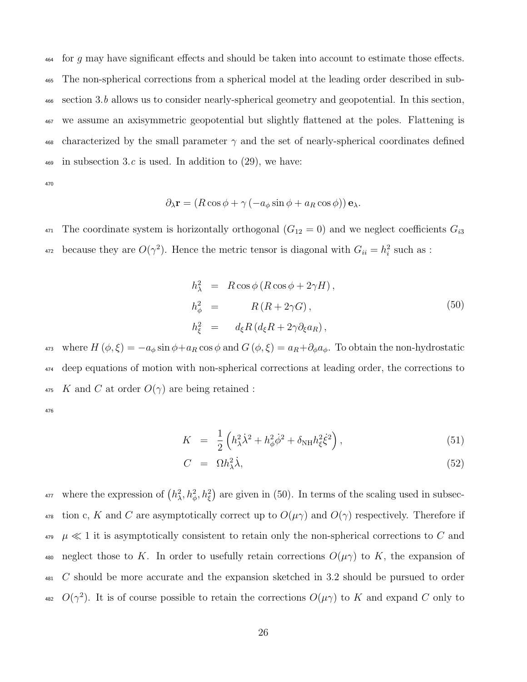for q may have significant effects and should be taken into account to estimate those effects. The non-spherical corrections from a spherical model at the leading order described in sub- section 3.b allows us to consider nearly-spherical geometry and geopotential. In this section, we assume an axisymmetric geopotential but slightly flattened at the poles. Flattening is 468 characterized by the small parameter  $\gamma$  and the set of nearly-spherical coordinates defined  $\frac{469}{469}$  in subsection 3.c is used. In addition to (29), we have:

470

$$
\partial_{\lambda} \mathbf{r} = (R \cos \phi + \gamma (-a_{\phi} \sin \phi + a_R \cos \phi)) \mathbf{e}_{\lambda}.
$$

<sup>471</sup> The coordinate system is horizontally orthogonal  $(G_{12} = 0)$  and we neglect coefficients  $G_{i3}$ <sup>472</sup> because they are  $O(\gamma^2)$ . Hence the metric tensor is diagonal with  $G_{ii} = h_i^2$  such as :

$$
h_{\lambda}^{2} = R \cos \phi (R \cos \phi + 2\gamma H),
$$
  
\n
$$
h_{\phi}^{2} = R (R + 2\gamma G),
$$
  
\n
$$
h_{\xi}^{2} = d_{\xi} R (d_{\xi} R + 2\gamma \partial_{\xi} a_{R}),
$$
\n(50)

473 where  $H(\phi,\xi) = -a_{\phi} \sin \phi + a_R \cos \phi$  and  $G(\phi,\xi) = a_R + \partial_{\phi} a_{\phi}$ . To obtain the non-hydrostatic <sup>474</sup> deep equations of motion with non-spherical corrections at leading order, the corrections to 475 K and C at order  $O(\gamma)$  are being retained :

476

$$
K = \frac{1}{2} \left( h_{\lambda}^2 \dot{\lambda}^2 + h_{\phi}^2 \dot{\phi}^2 + \delta_{\text{NH}} h_{\xi}^2 \dot{\xi}^2 \right), \tag{51}
$$

$$
C = \Omega h_{\lambda}^2 \dot{\lambda}, \tag{52}
$$

<sup>477</sup> where the expression of  $(h_\lambda^2, h_\phi^2, h_\xi^2)$  are given in (50). In terms of the scaling used in subsec-478 tion c, K and C are asymptotically correct up to  $O(\mu\gamma)$  and  $O(\gamma)$  respectively. Therefore if  $\mu \ll 1$  it is asymptotically consistent to retain only the non-spherical corrections to C and 480 neglect those to K. In order to usefully retain corrections  $O(\mu\gamma)$  to K, the expansion of <sup>481</sup> C should be more accurate and the expansion sketched in 3.2 should be pursued to order <sup>482</sup>  $O(\gamma^2)$ . It is of course possible to retain the corrections  $O(\mu\gamma)$  to K and expand C only to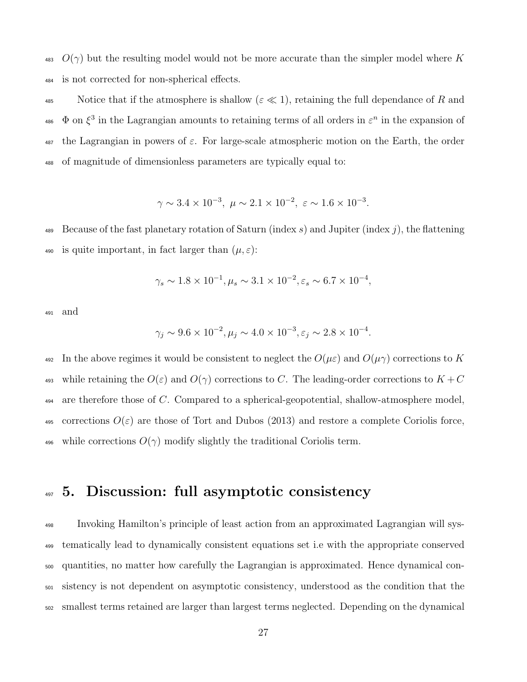<sup>483</sup>  $O(\gamma)$  but the resulting model would not be more accurate than the simpler model where K <sup>484</sup> is not corrected for non-spherical effects.

485 Notice that if the atmosphere is shallow ( $\varepsilon \ll 1$ ), retaining the full dependance of R and  $\Phi$  on  $\xi^3$  in the Lagrangian amounts to retaining terms of all orders in  $\varepsilon^n$  in the expansion of the Lagrangian in powers of  $\varepsilon$ . For large-scale atmospheric motion on the Earth, the order of magnitude of dimensionless parameters are typically equal to:

$$
\gamma \sim 3.4 \times 10^{-3}
$$
,  $\mu \sim 2.1 \times 10^{-2}$ ,  $\varepsilon \sim 1.6 \times 10^{-3}$ .

489 Because of the fast planetary rotation of Saturn (index s) and Jupiter (index j), the flattening 490 is quite important, in fact larger than  $(\mu, \varepsilon)$ :

$$
\gamma_s \sim 1.8 \times 10^{-1}, \mu_s \sim 3.1 \times 10^{-2}, \varepsilon_s \sim 6.7 \times 10^{-4},
$$

<sup>491</sup> and

$$
\gamma_j \sim 9.6 \times 10^{-2}, \mu_j \sim 4.0 \times 10^{-3}, \varepsilon_j \sim 2.8 \times 10^{-4}.
$$

492 In the above regimes it would be consistent to neglect the  $O(\mu \varepsilon)$  and  $O(\mu \gamma)$  corrections to K 493 while retaining the  $O(\varepsilon)$  and  $O(\gamma)$  corrections to C. The leading-order corrections to  $K+C$ 494 are therefore those of C. Compared to a spherical-geopotential, shallow-atmosphere model, 495 corrections  $O(\varepsilon)$  are those of Tort and Dubos (2013) and restore a complete Coriolis force, 496 while corrections  $O(\gamma)$  modify slightly the traditional Coriolis term.

### 497 5. Discussion: full asymptotic consistency

 Invoking Hamilton's principle of least action from an approximated Lagrangian will sys- tematically lead to dynamically consistent equations set i.e with the appropriate conserved quantities, no matter how carefully the Lagrangian is approximated. Hence dynamical con- sistency is not dependent on asymptotic consistency, understood as the condition that the smallest terms retained are larger than largest terms neglected. Depending on the dynamical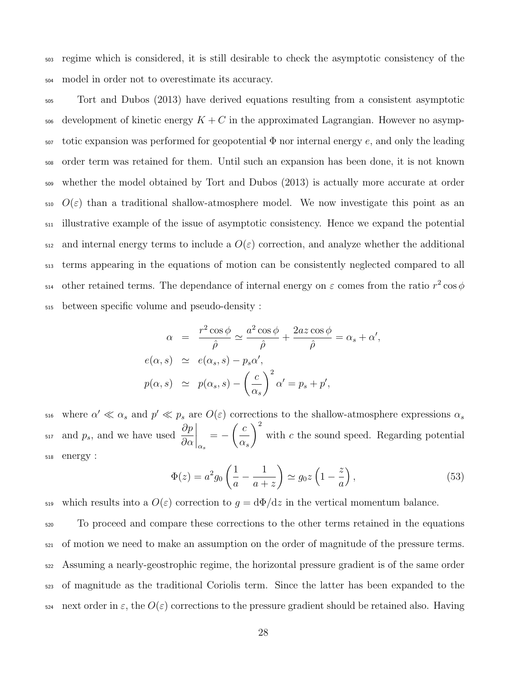<sup>503</sup> regime which is considered, it is still desirable to check the asymptotic consistency of the <sup>504</sup> model in order not to overestimate its accuracy.

 Tort and Dubos (2013) have derived equations resulting from a consistent asymptotic <sub>506</sub> development of kinetic energy  $K + C$  in the approximated Lagrangian. However no asymp- totic expansion was performed for geopotential  $\Phi$  nor internal energy e, and only the leading order term was retained for them. Until such an expansion has been done, it is not known whether the model obtained by Tort and Dubos (2013) is actually more accurate at order  $\mathcal{O}(\varepsilon)$  than a traditional shallow-atmosphere model. We now investigate this point as an illustrative example of the issue of asymptotic consistency. Hence we expand the potential  $_{512}$  and internal energy terms to include a  $O(\varepsilon)$  correction, and analyze whether the additional terms appearing in the equations of motion can be consistently neglected compared to all <sup>514</sup> other retained terms. The dependance of internal energy on  $\varepsilon$  comes from the ratio  $r^2 \cos \phi$ between specific volume and pseudo-density :

$$
\alpha = \frac{r^2 \cos \phi}{\hat{\rho}} \simeq \frac{a^2 \cos \phi}{\hat{\rho}} + \frac{2az \cos \phi}{\hat{\rho}} = \alpha_s + \alpha',
$$
  

$$
e(\alpha, s) \simeq e(\alpha_s, s) - p_s \alpha',
$$
  

$$
p(\alpha, s) \simeq p(\alpha_s, s) - \left(\frac{c}{\alpha_s}\right)^2 \alpha' = p_s + p',
$$

 $\alpha_{16}$  where  $\alpha' \ll \alpha_s$  and  $p' \ll p_s$  are  $O(\varepsilon)$  corrections to the shallow-atmosphere expressions  $\alpha_s$ and  $p_s$ , and we have used  $\frac{\partial p}{\partial \alpha}$  $\bigg|_{\alpha_s}$ = −  $\int c$  $\alpha_s$  $\setminus^2$  $\sup_{s_{17}}$  and  $p_s$ , and we have used  $\frac{\partial P}{\partial s}|_s = -(-\frac{1}{\epsilon})$  with c the sound speed. Regarding potential <sup>518</sup> energy :

$$
\Phi(z) = a^2 g_0 \left(\frac{1}{a} - \frac{1}{a+z}\right) \simeq g_0 z \left(1 - \frac{z}{a}\right),\tag{53}
$$

519 which results into a  $O(\varepsilon)$  correction to  $g = d\Phi/dz$  in the vertical momentum balance.

 To proceed and compare these corrections to the other terms retained in the equations of motion we need to make an assumption on the order of magnitude of the pressure terms. Assuming a nearly-geostrophic regime, the horizontal pressure gradient is of the same order of magnitude as the traditional Coriolis term. Since the latter has been expanded to the 524 next order in  $\varepsilon$ , the  $O(\varepsilon)$  corrections to the pressure gradient should be retained also. Having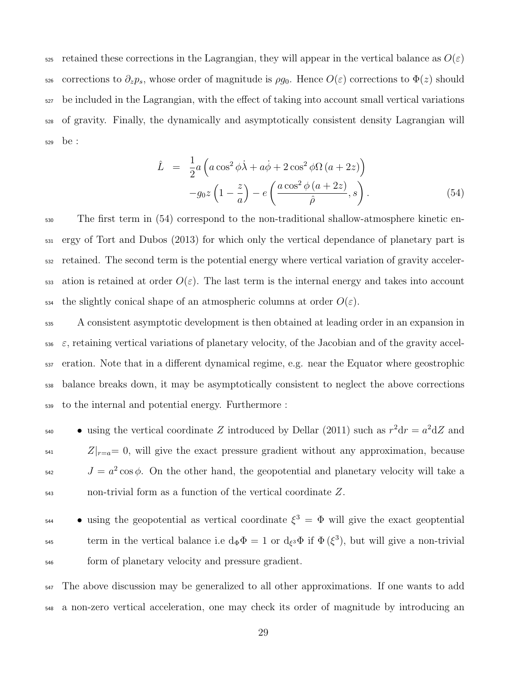525 retained these corrections in the Lagrangian, they will appear in the vertical balance as  $O(\varepsilon)$ 526 corrections to  $\partial_z p_s$ , whose order of magnitude is  $\rho g_0$ . Hence  $O(\varepsilon)$  corrections to  $\Phi(z)$  should <sup>527</sup> be included in the Lagrangian, with the effect of taking into account small vertical variations <sup>528</sup> of gravity. Finally, the dynamically and asymptotically consistent density Lagrangian will <sup>529</sup> be :

$$
\hat{L} = \frac{1}{2}a\left(a\cos^2\phi\dot{\lambda} + a\dot{\phi} + 2\cos^2\phi\Omega\left(a+2z\right)\right) \n- g_0 z\left(1 - \frac{z}{a}\right) - e\left(\frac{a\cos^2\phi\left(a+2z\right)}{\hat{\rho}}, s\right).
$$
\n(54)

<sup>530</sup> The first term in (54) correspond to the non-traditional shallow-atmosphere kinetic en-<sup>531</sup> ergy of Tort and Dubos (2013) for which only the vertical dependance of planetary part is <sup>532</sup> retained. The second term is the potential energy where vertical variation of gravity acceler-533 ation is retained at order  $O(\varepsilon)$ . The last term is the internal energy and takes into account  $\epsilon_{534}$  the slightly conical shape of an atmospheric columns at order  $O(\varepsilon)$ .

 A consistent asymptotic development is then obtained at leading order in an expansion in  $\epsilon$ , retaining vertical variations of planetary velocity, of the Jacobian and of the gravity accel- eration. Note that in a different dynamical regime, e.g. near the Equator where geostrophic balance breaks down, it may be asymptotically consistent to neglect the above corrections to the internal and potential energy. Furthermore :

• using the vertical coordinate Z introduced by Dellar (2011) such as  $r^2dr = a^2dZ$  and  $Z|_{r=a}= 0$ , will give the exact pressure gradient without any approximation, because  $J = a^2 \cos \phi$ . On the other hand, the geopotential and planetary velocity will take a <sup>543</sup> non-trivial form as a function of the vertical coordinate Z.

• using the geopotential as vertical coordinate  $\xi^3 = \Phi$  will give the exact geoptential term in the vertical balance i.e  $d_{\Phi} \Phi = 1$  or  $d_{\xi} \Phi$  if  $\Phi(\xi^3)$ , but will give a non-trivial <sup>546</sup> form of planetary velocity and pressure gradient.

<sup>547</sup> The above discussion may be generalized to all other approximations. If one wants to add <sup>548</sup> a non-zero vertical acceleration, one may check its order of magnitude by introducing an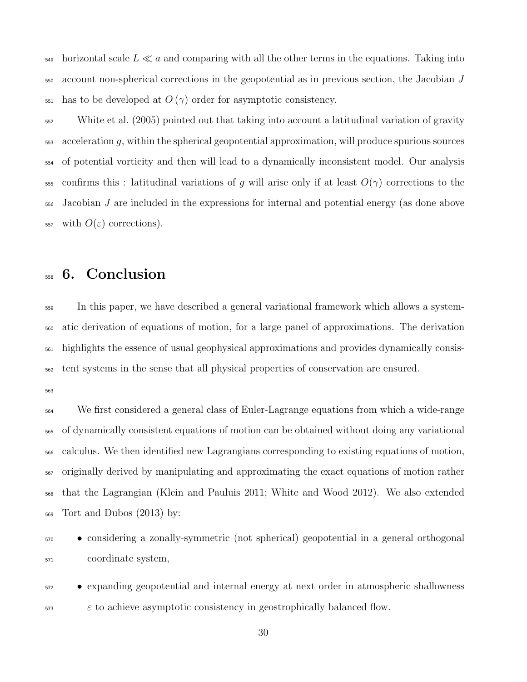$_{549}$  horizontal scale  $L \ll a$  and comparing with all the other terms in the equations. Taking into account non-spherical corrections in the geopotential as in previous section, the Jacobian J  $\frac{551}{251}$  has to be developed at  $O(\gamma)$  order for asymptotic consistency.

 White et al. (2005) pointed out that taking into account a latitudinal variation of gravity acceleration q, within the spherical geopotential approximation, will produce spurious sources of potential vorticity and then will lead to a dynamically inconsistent model. Our analysis 555 confirms this : latitudinal variations of g will arise only if at least  $O(\gamma)$  corrections to the Jacobian J are included in the expressions for internal and potential energy (as done above 557 with  $O(\varepsilon)$  corrections).

### 6. Conclusion

 In this paper, we have described a general variational framework which allows a system- atic derivation of equations of motion, for a large panel of approximations. The derivation highlights the essence of usual geophysical approximations and provides dynamically consis-tent systems in the sense that all physical properties of conservation are ensured.

 We first considered a general class of Euler-Lagrange equations from which a wide-range of dynamically consistent equations of motion can be obtained without doing any variational calculus. We then identified new Lagrangians corresponding to existing equations of motion, originally derived by manipulating and approximating the exact equations of motion rather that the Lagrangian (Klein and Pauluis 2011; White and Wood 2012). We also extended Tort and Dubos (2013) by:

 • considering a zonally-symmetric (not spherical) geopotential in a general orthogonal coordinate system,

 • expanding geopotential and internal energy at next order in atmospheric shallowness  $\epsilon$  to achieve asymptotic consistency in geostrophically balanced flow.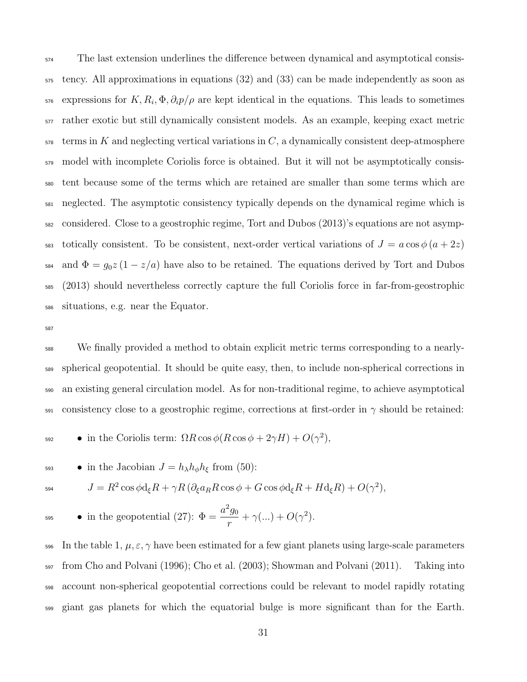The last extension underlines the difference between dynamical and asymptotical consis- tency. All approximations in equations (32) and (33) can be made independently as soon as  $\epsilon_{576}$  expressions for  $K, R_i, \Phi, \partial_i p/\rho$  are kept identical in the equations. This leads to sometimes rather exotic but still dynamically consistent models. As an example, keeping exact metric terms in K and neglecting vertical variations in C, a dynamically consistent deep-atmosphere <sub>579</sub> model with incomplete Coriolis force is obtained. But it will not be asymptotically consis- tent because some of the terms which are retained are smaller than some terms which are neglected. The asymptotic consistency typically depends on the dynamical regime which is considered. Close to a geostrophic regime, Tort and Dubos (2013)'s equations are not asymp-583 totically consistent. To be consistent, next-order vertical variations of  $J = a \cos \phi (a + 2z)$ 584 and  $\Phi = g_0 z (1 - z/a)$  have also to be retained. The equations derived by Tort and Dubos (2013) should nevertheless correctly capture the full Coriolis force in far-from-geostrophic situations, e.g. near the Equator.

 We finally provided a method to obtain explicit metric terms corresponding to a nearly- spherical geopotential. It should be quite easy, then, to include non-spherical corrections in an existing general circulation model. As for non-traditional regime, to achieve asymptotical  $\frac{591}{2}$  consistency close to a geostrophic regime, corrections at first-order in  $\gamma$  should be retained:

- $\bullet$  in the Coriolis term:  $\Omega R \cos \phi (R \cos \phi + 2 \gamma H) + O(\gamma^2),$
- 593 in the Jacobian  $J = h_{\lambda} h_{\phi} h_{\xi}$  from (50):

$$
^{594}
$$

the Jacobian 
$$
J = h_{\lambda} h_{\phi} h_{\xi}
$$
 from (50):

$$
J = R^2 \cos \phi d_{\xi} R + \gamma R \left( \partial_{\xi} a_R R \cos \phi + G \cos \phi d_{\xi} R + H d_{\xi} R \right) + O(\gamma^2),
$$

$$
\bullet \text{ in the geopotential (27): } \Phi = \frac{a^2 g_0}{r} + \gamma (\dots) + O(\gamma^2).
$$

596 In the table 1,  $\mu$ ,  $\varepsilon$ ,  $\gamma$  have been estimated for a few giant planets using large-scale parameters from Cho and Polvani (1996); Cho et al. (2003); Showman and Polvani (2011). Taking into account non-spherical geopotential corrections could be relevant to model rapidly rotating giant gas planets for which the equatorial bulge is more significant than for the Earth.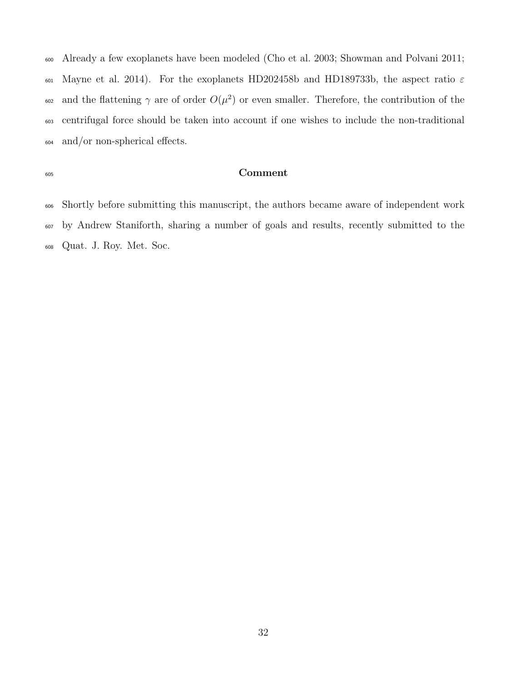Already a few exoplanets have been modeled (Cho et al. 2003; Showman and Polvani 2011; 601 Mayne et al. 2014). For the exoplanets HD202458b and HD189733b, the aspect ratio  $\varepsilon$ <sup>602</sup> and the flattening γ are of order  $O(\mu^2)$  or even smaller. Therefore, the contribution of the centrifugal force should be taken into account if one wishes to include the non-traditional and/or non-spherical effects.

#### Comment

 Shortly before submitting this manuscript, the authors became aware of independent work by Andrew Staniforth, sharing a number of goals and results, recently submitted to the Quat. J. Roy. Met. Soc.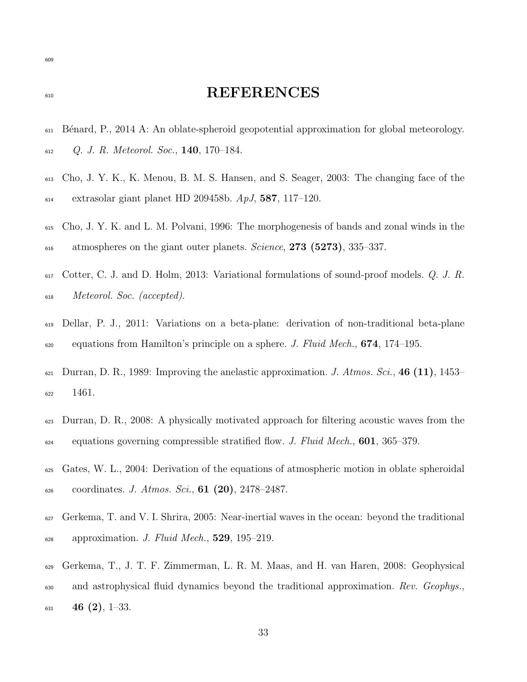### 610 REFERENCES

- B´enard, P., 2014 A: An oblate-spheroid geopotential approximation for global meteorology. Q. J. R. Meteorol. Soc., 140, 170–184.
- Cho, J. Y. K., K. Menou, B. M. S. Hansen, and S. Seager, 2003: The changing face of the 614 extrasolar giant planet HD 209458b.  $ApJ$ , 587, 117–120.
- Cho, J. Y. K. and L. M. Polvani, 1996: The morphogenesis of bands and zonal winds in the <sup>616</sup> atmospheres on the giant outer planets. *Science*, **273** (5273), 335–337.
- Cotter, C. J. and D. Holm, 2013: Variational formulations of sound-proof models. Q. J. R. Meteorol. Soc. (accepted).
- Dellar, P. J., 2011: Variations on a beta-plane: derivation of non-traditional beta-plane  $\epsilon_{0.60}$  equations from Hamilton's principle on a sphere. J. Fluid Mech., **674**, 174–195.
- 621 Durran, D. R., 1989: Improving the anelastic approximation. J. Atmos. Sci., 46 (11), 1453– 1461.
- Durran, D. R., 2008: A physically motivated approach for filtering acoustic waves from the  $\epsilon_{624}$  equations governing compressible stratified flow. J. Fluid Mech., **601**, 365–379.
- Gates, W. L., 2004: Derivation of the equations of atmospheric motion in oblate spheroidal  $\epsilon_{626}$  coordinates. J. Atmos. Sci., 61 (20), 2478–2487.
- Gerkema, T. and V. I. Shrira, 2005: Near-inertial waves in the ocean: beyond the traditional  $\epsilon_{28}$  approximation. J. Fluid Mech., **529**, 195–219.
- Gerkema, T., J. T. F. Zimmerman, L. R. M. Maas, and H. van Haren, 2008: Geophysical <sub>630</sub> and astrophysical fluid dynamics beyond the traditional approximation. Rev. Geophys., 46 (2), 1-33.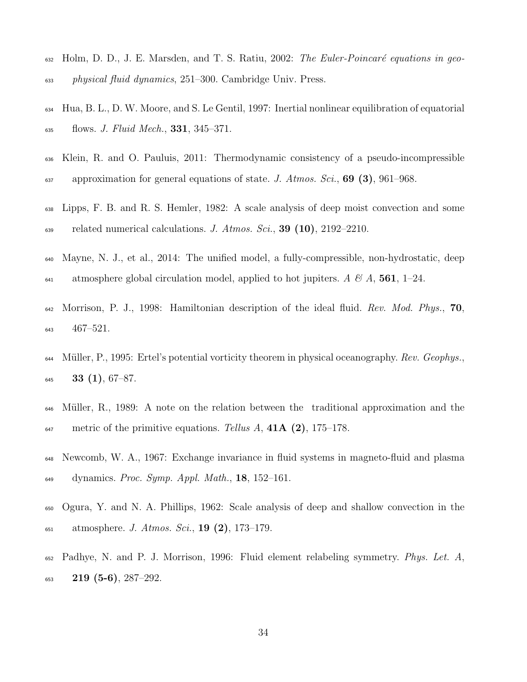- Holm, D. D., J. E. Marsden, and T. S. Ratiu, 2002: The Euler-Poincaré equations in geo-physical fluid dynamics, 251–300. Cambridge Univ. Press.
- Hua, B. L., D. W. Moore, and S. Le Gentil, 1997: Inertial nonlinear equilibration of equatorial flows. J. Fluid Mech., 331, 345–371.
- Klein, R. and O. Pauluis, 2011: Thermodynamic consistency of a pseudo-incompressible 637 approximation for general equations of state. J. Atmos. Sci., **69 (3)**, 961–968.
- Lipps, F. B. and R. S. Hemler, 1982: A scale analysis of deep moist convection and some  $\epsilon_{39}$  related numerical calculations. J. Atmos. Sci., 39 (10), 2192–2210.
- Mayne, N. J., et al., 2014: The unified model, a fully-compressible, non-hydrostatic, deep 641 atmosphere global circulation model, applied to hot jupiters. A  $\mathcal{B}$  A, 561, 1–24.
- Morrison, P. J., 1998: Hamiltonian description of the ideal fluid. Rev. Mod. Phys., 70, 467–521.
- 644 Müller, P., 1995: Ertel's potential vorticity theorem in physical oceanography. Rev. Geophys., **33 (1)**, 67–87.
- M¨uller, R., 1989: A note on the relation between the traditional approximation and the  $\mu_{\text{647}}$  metric of the primitive equations. Tellus A, 41A (2), 175–178.
- Newcomb, W. A., 1967: Exchange invariance in fluid systems in magneto-fluid and plasma  $\mu_{\text{49}}$  dynamics. Proc. Symp. Appl. Math., 18, 152–161.
- Ogura, Y. and N. A. Phillips, 1962: Scale analysis of deep and shallow convection in the  $\mu_{651}$  atmosphere. J. Atmos. Sci., 19 (2), 173–179.
- Padhye, N. and P. J. Morrison, 1996: Fluid element relabeling symmetry. Phys. Let. A, 219 (5-6), 287-292.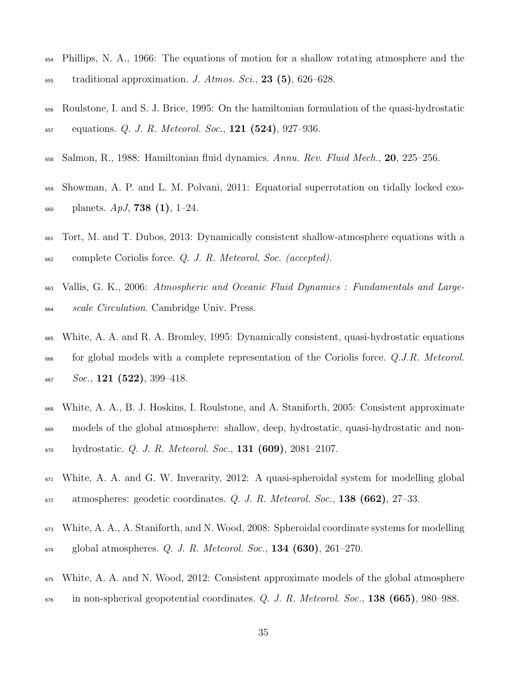- Phillips, N. A., 1966: The equations of motion for a shallow rotating atmosphere and the  $\text{total}$  traditional approximation. J. Atmos. Sci., 23 (5), 626–628.
- Roulstone, I. and S. J. Brice, 1995: On the hamiltonian formulation of the quasi-hydrostatic equations. Q. J. R. Meteorol. Soc., 121 (524), 927–936.
- Salmon, R., 1988: Hamiltonian fluid dynamics. Annu. Rev. Fluid Mech., 20, 225–256.
- Showman, A. P. and L. M. Polvani, 2011: Equatorial superrotation on tidally locked exo- $_{660}$  planets.  $ApJ$ , **738 (1)**, 1–24.
- Tort, M. and T. Dubos, 2013: Dynamically consistent shallow-atmosphere equations with a complete Coriolis force. Q. J. R. Meteorol. Soc. (accepted).
- Vallis, G. K., 2006: Atmospheric and Oceanic Fluid Dynamics : Fundamentals and Large-<sub>664</sub> scale Circulation. Cambridge Univ. Press.
- White, A. A. and R. A. Bromley, 1995: Dynamically consistent, quasi-hydrostatic equations <sub>666</sub> for global models with a complete representation of the Coriolis force. Q.J.R. Meteorol. Soc., 121 (522), 399–418.
- White, A. A., B. J. Hoskins, I. Roulstone, and A. Staniforth, 2005: Consistent approximate models of the global atmosphere: shallow, deep, hydrostatic, quasi-hydrostatic and non-hydrostatic. Q. J. R. Meteorol. Soc., **131 (609)**, 2081–2107.
- White, A. A. and G. W. Inverarity, 2012: A quasi-spheroidal system for modelling global atmospheres: geodetic coordinates. Q. J. R. Meteorol. Soc., 138 (662), 27–33.
- White, A. A., A. Staniforth, and N. Wood, 2008: Spheroidal coordinate systems for modelling  $_{674}$  global atmospheres. Q. J. R. Meteorol. Soc., 134 (630), 261–270.
- White, A. A. and N. Wood, 2012: Consistent approximate models of the global atmosphere
- in non-spherical geopotential coordinates. Q. J. R. Meteorol. Soc., 138 (665), 980–988.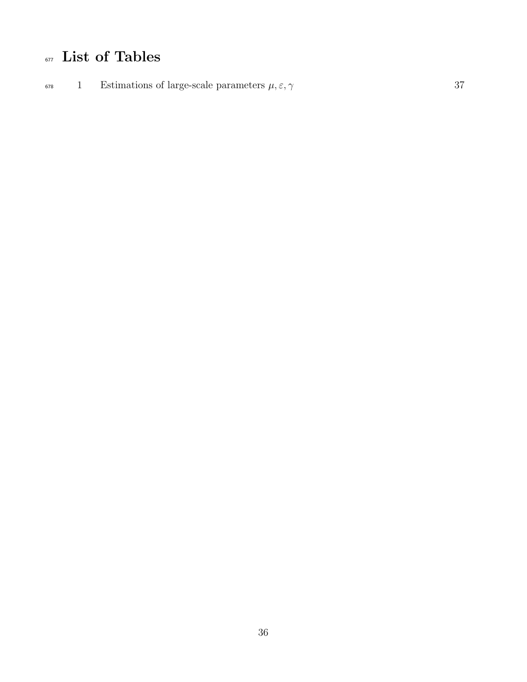## $\overline{\phantom{a}}$ <sub>677</sub> List of Tables

<sup>678</sup> 1 Estimations of large-scale parameters  $\mu, \varepsilon, \gamma$  37